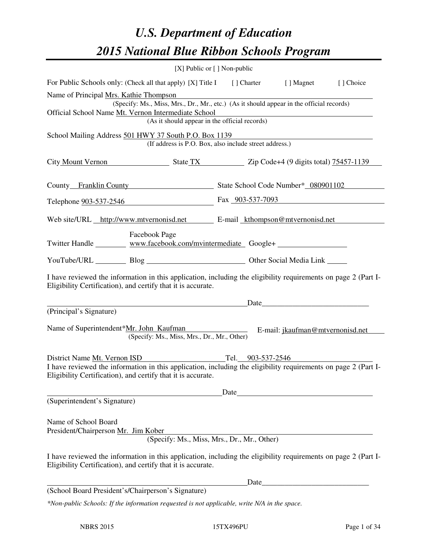# *U.S. Department of Education 2015 National Blue Ribbon Schools Program*

|                                                                                                                                                                                | [X] Public or [] Non-public                            |                                             |      |           |  |  |  |
|--------------------------------------------------------------------------------------------------------------------------------------------------------------------------------|--------------------------------------------------------|---------------------------------------------|------|-----------|--|--|--|
| For Public Schools only: (Check all that apply) [X] Title I [] Charter [] Magnet                                                                                               |                                                        |                                             |      | [] Choice |  |  |  |
| Name of Principal Mrs. Kathie Thompson<br>(Specify: Ms., Miss, Mrs., Dr., Mr., etc.) (As it should appear in the official records)                                             |                                                        |                                             |      |           |  |  |  |
| Official School Name Mt. Vernon Intermediate School<br>(As it should appear in the official records)                                                                           |                                                        |                                             |      |           |  |  |  |
| School Mailing Address 501 HWY 37 South P.O. Box 1139                                                                                                                          |                                                        |                                             |      |           |  |  |  |
| (If address is P.O. Box, also include street address.)                                                                                                                         |                                                        |                                             |      |           |  |  |  |
| City Mount Vernon State TX Zip Code+4 (9 digits total) 75457-1139                                                                                                              |                                                        |                                             |      |           |  |  |  |
| County Franklin County State School Code Number* 080901102                                                                                                                     |                                                        |                                             |      |           |  |  |  |
| Telephone <u>903-537-2546</u> Fax 903-537-7093                                                                                                                                 |                                                        |                                             |      |           |  |  |  |
| Web site/URL http://www.mtvernonisd.net E-mail kthompson@mtvernonisd.net                                                                                                       |                                                        |                                             |      |           |  |  |  |
| <b>Facebook Page</b><br>Twitter Handle _________ www.facebook.com/mvintermediate Google+ _______________                                                                       |                                                        |                                             |      |           |  |  |  |
|                                                                                                                                                                                | YouTube/URL Blog Blog Discount Other Social Media Link |                                             |      |           |  |  |  |
| I have reviewed the information in this application, including the eligibility requirements on page 2 (Part I-<br>Eligibility Certification), and certify that it is accurate. |                                                        |                                             |      |           |  |  |  |
| <u> 1989 - Johann Stein, mars an t-Amerikaansk kommunister (</u>                                                                                                               |                                                        |                                             | Date |           |  |  |  |
| (Principal's Signature)<br>Name of Superintendent*Mr. John Kaufman E-mail: jkaufman@mtvernonisd.net<br>(Specify: Ms., Miss, Mrs., Dr., Mr., Other)                             |                                                        |                                             |      |           |  |  |  |
| District Name Mt. Vernon ISD                                                                                                                                                   |                                                        | Tel. $903-537-2546$                         |      |           |  |  |  |
| I have reviewed the information in this application, including the eligibility requirements on page 2 (Part I-<br>Eligibility Certification), and certify that it is accurate. |                                                        |                                             |      |           |  |  |  |
|                                                                                                                                                                                |                                                        | Date                                        |      |           |  |  |  |
| (Superintendent's Signature)                                                                                                                                                   |                                                        |                                             |      |           |  |  |  |
| Name of School Board<br>President/Chairperson Mr. Jim Kober                                                                                                                    |                                                        | (Specify: Ms., Miss, Mrs., Dr., Mr., Other) |      |           |  |  |  |
| I have reviewed the information in this application, including the eligibility requirements on page 2 (Part I-<br>Eligibility Certification), and certify that it is accurate. |                                                        |                                             |      |           |  |  |  |
|                                                                                                                                                                                |                                                        | Date                                        |      |           |  |  |  |
| (School Board President's/Chairperson's Signature)<br>*Non-public Schools: If the information requested is not applicable, write N/A in the space.                             |                                                        |                                             |      |           |  |  |  |
|                                                                                                                                                                                |                                                        |                                             |      |           |  |  |  |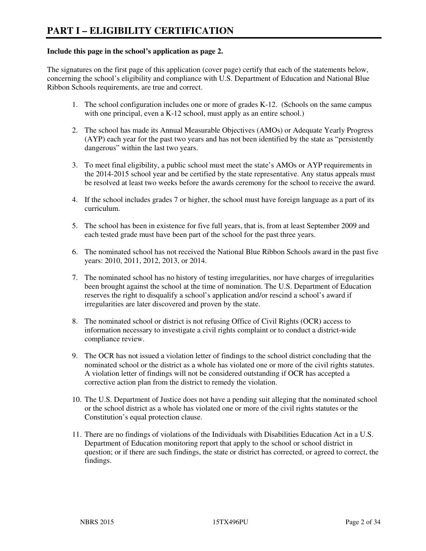#### **Include this page in the school's application as page 2.**

The signatures on the first page of this application (cover page) certify that each of the statements below, concerning the school's eligibility and compliance with U.S. Department of Education and National Blue Ribbon Schools requirements, are true and correct.

- 1. The school configuration includes one or more of grades K-12. (Schools on the same campus with one principal, even a K-12 school, must apply as an entire school.)
- 2. The school has made its Annual Measurable Objectives (AMOs) or Adequate Yearly Progress (AYP) each year for the past two years and has not been identified by the state as "persistently dangerous" within the last two years.
- 3. To meet final eligibility, a public school must meet the state's AMOs or AYP requirements in the 2014-2015 school year and be certified by the state representative. Any status appeals must be resolved at least two weeks before the awards ceremony for the school to receive the award.
- 4. If the school includes grades 7 or higher, the school must have foreign language as a part of its curriculum.
- 5. The school has been in existence for five full years, that is, from at least September 2009 and each tested grade must have been part of the school for the past three years.
- 6. The nominated school has not received the National Blue Ribbon Schools award in the past five years: 2010, 2011, 2012, 2013, or 2014.
- 7. The nominated school has no history of testing irregularities, nor have charges of irregularities been brought against the school at the time of nomination. The U.S. Department of Education reserves the right to disqualify a school's application and/or rescind a school's award if irregularities are later discovered and proven by the state.
- 8. The nominated school or district is not refusing Office of Civil Rights (OCR) access to information necessary to investigate a civil rights complaint or to conduct a district-wide compliance review.
- 9. The OCR has not issued a violation letter of findings to the school district concluding that the nominated school or the district as a whole has violated one or more of the civil rights statutes. A violation letter of findings will not be considered outstanding if OCR has accepted a corrective action plan from the district to remedy the violation.
- 10. The U.S. Department of Justice does not have a pending suit alleging that the nominated school or the school district as a whole has violated one or more of the civil rights statutes or the Constitution's equal protection clause.
- 11. There are no findings of violations of the Individuals with Disabilities Education Act in a U.S. Department of Education monitoring report that apply to the school or school district in question; or if there are such findings, the state or district has corrected, or agreed to correct, the findings.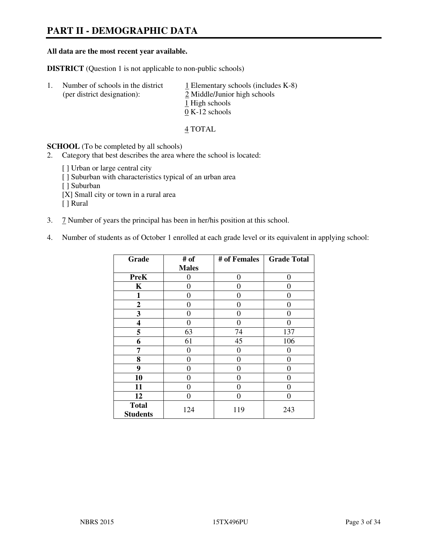# **PART II - DEMOGRAPHIC DATA**

#### **All data are the most recent year available.**

**DISTRICT** (Question 1 is not applicable to non-public schools)

| -1. | Number of schools in the district<br>(per district designation): | $\perp$ Elementary schools (includes K-8)<br>2 Middle/Junior high schools<br>1 High schools |
|-----|------------------------------------------------------------------|---------------------------------------------------------------------------------------------|
|     |                                                                  | $0 K-12$ schools                                                                            |

#### 4 TOTAL

**SCHOOL** (To be completed by all schools)

2. Category that best describes the area where the school is located:

[] Urban or large central city [ ] Suburban with characteristics typical of an urban area [ ] Suburban [X] Small city or town in a rural area [ ] Rural

- 3. 7 Number of years the principal has been in her/his position at this school.
- 4. Number of students as of October 1 enrolled at each grade level or its equivalent in applying school:

| Grade                           | # of         | # of Females | <b>Grade Total</b> |
|---------------------------------|--------------|--------------|--------------------|
|                                 | <b>Males</b> |              |                    |
| <b>PreK</b>                     | 0            | $\theta$     | $\theta$           |
| K                               | 0            | $\theta$     | $\theta$           |
| 1                               | 0            | 0            | 0                  |
| $\mathbf{2}$                    | 0            | 0            | 0                  |
| 3                               | 0            | 0            | 0                  |
| 4                               | 0            | $\theta$     | 0                  |
| 5                               | 63           | 74           | 137                |
| 6                               | 61           | 45           | 106                |
| 7                               | 0            | $\theta$     | 0                  |
| 8                               | 0            | 0            | 0                  |
| 9                               | 0            | 0            | 0                  |
| 10                              | 0            | 0            | 0                  |
| 11                              | 0            | 0            | $\theta$           |
| 12                              | 0            | 0            | 0                  |
| <b>Total</b><br><b>Students</b> | 124          | 119          | 243                |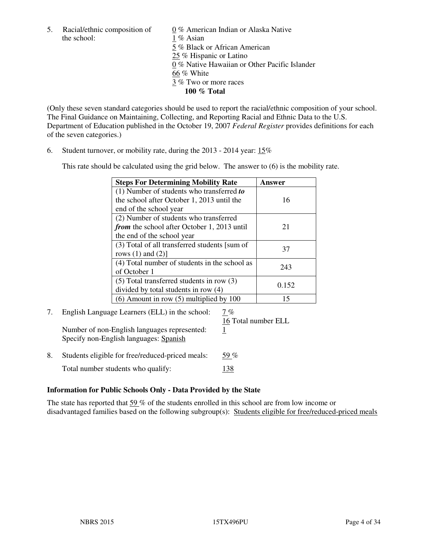the school: 1 % Asian

5. Racial/ethnic composition of  $0\%$  American Indian or Alaska Native 5 % Black or African American 25 % Hispanic or Latino 0 % Native Hawaiian or Other Pacific Islander 66 % White 3 % Two or more races **100 % Total** 

(Only these seven standard categories should be used to report the racial/ethnic composition of your school. The Final Guidance on Maintaining, Collecting, and Reporting Racial and Ethnic Data to the U.S. Department of Education published in the October 19, 2007 *Federal Register* provides definitions for each of the seven categories.)

6. Student turnover, or mobility rate, during the 2013 - 2014 year: 15%

This rate should be calculated using the grid below. The answer to (6) is the mobility rate.

| <b>Steps For Determining Mobility Rate</b>         | Answer |
|----------------------------------------------------|--------|
| $(1)$ Number of students who transferred to        |        |
| the school after October 1, 2013 until the         | 16     |
| end of the school year                             |        |
| (2) Number of students who transferred             |        |
| <i>from</i> the school after October 1, 2013 until | 21     |
| the end of the school year                         |        |
| (3) Total of all transferred students [sum of      | 37     |
| rows $(1)$ and $(2)$ ]                             |        |
| (4) Total number of students in the school as      | 243    |
| of October 1                                       |        |
| $(5)$ Total transferred students in row $(3)$      | 0.152  |
| divided by total students in row (4)               |        |
| $(6)$ Amount in row $(5)$ multiplied by 100        | 15     |

# 7. English Language Learners (ELL) in the school: 7 %

Number of non-English languages represented: 1 Specify non-English languages: Spanish

16 Total number ELL

8. Students eligible for free/reduced-priced meals:  $59\%$ Total number students who qualify: 138

# **Information for Public Schools Only - Data Provided by the State**

The state has reported that 59 % of the students enrolled in this school are from low income or disadvantaged families based on the following subgroup(s): Students eligible for free/reduced-priced meals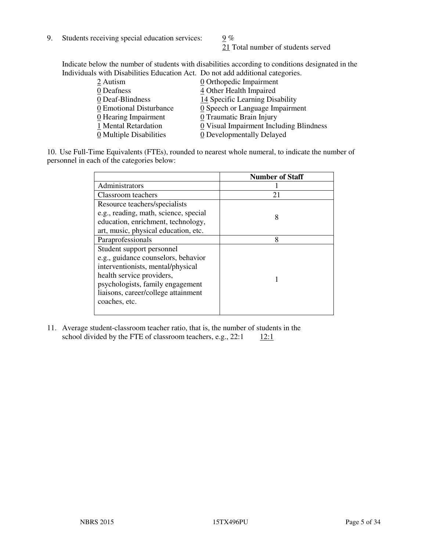9. Students receiving special education services:  $\frac{9}{6}$ %

21 Total number of students served

Indicate below the number of students with disabilities according to conditions designated in the Individuals with Disabilities Education Act. Do not add additional categories.

|                                         | 0 Orthopedic Impairment  | 2 Autism                           |  |
|-----------------------------------------|--------------------------|------------------------------------|--|
|                                         | 4 Other Health Impaired  | 0 Deafness                         |  |
| 14 Specific Learning Disability         |                          | 0 Deaf-Blindness                   |  |
| 0 Speech or Language Impairment         |                          | 0 Emotional Disturbance            |  |
|                                         | 0 Traumatic Brain Injury | $\underline{0}$ Hearing Impairment |  |
| 0 Visual Impairment Including Blindness |                          | 1 Mental Retardation               |  |
| 0 Developmentally Delayed               |                          | 0 Multiple Disabilities            |  |
|                                         |                          |                                    |  |

10. Use Full-Time Equivalents (FTEs), rounded to nearest whole numeral, to indicate the number of personnel in each of the categories below:

|                                       | <b>Number of Staff</b> |
|---------------------------------------|------------------------|
| Administrators                        |                        |
| Classroom teachers                    | 21                     |
| Resource teachers/specialists         |                        |
| e.g., reading, math, science, special | 8                      |
| education, enrichment, technology,    |                        |
| art, music, physical education, etc.  |                        |
| Paraprofessionals                     | 8                      |
| Student support personnel             |                        |
| e.g., guidance counselors, behavior   |                        |
| interventionists, mental/physical     |                        |
| health service providers,             |                        |
| psychologists, family engagement      |                        |
| liaisons, career/college attainment   |                        |
| coaches, etc.                         |                        |
|                                       |                        |

11. Average student-classroom teacher ratio, that is, the number of students in the school divided by the FTE of classroom teachers, e.g.,  $22:1 \qquad \underline{12:1}$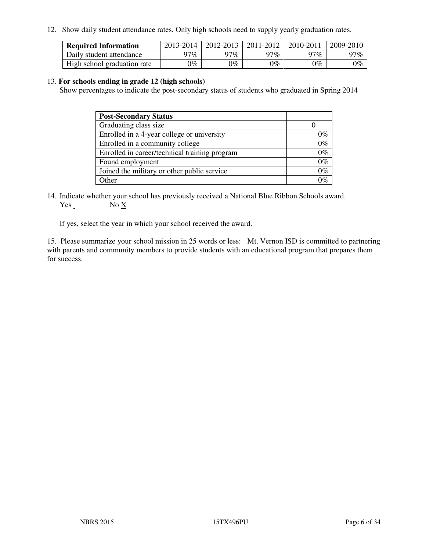12. Show daily student attendance rates. Only high schools need to supply yearly graduation rates.

| <b>Required Information</b> | 2013-2014 | 2012-2013 | 2011-2012 | 2010-2011 | 2009-2010 |
|-----------------------------|-----------|-----------|-----------|-----------|-----------|
| Daily student attendance    | $77\%$    | 97%       | 97%       | $77\%$    | 97%       |
| High school graduation rate | 9%        | $0\%$     | $0\%$     | 0%        | $0\%$     |

#### 13. **For schools ending in grade 12 (high schools)**

Show percentages to indicate the post-secondary status of students who graduated in Spring 2014

| <b>Post-Secondary Status</b>                  |       |
|-----------------------------------------------|-------|
| Graduating class size                         |       |
| Enrolled in a 4-year college or university    | 0%    |
| Enrolled in a community college               | $0\%$ |
| Enrolled in career/technical training program | $0\%$ |
| Found employment                              | $0\%$ |
| Joined the military or other public service   | $0\%$ |
| Other                                         | ነር    |

14. Indicate whether your school has previously received a National Blue Ribbon Schools award. Yes No X

If yes, select the year in which your school received the award.

15. Please summarize your school mission in 25 words or less: Mt. Vernon ISD is committed to partnering with parents and community members to provide students with an educational program that prepares them for success.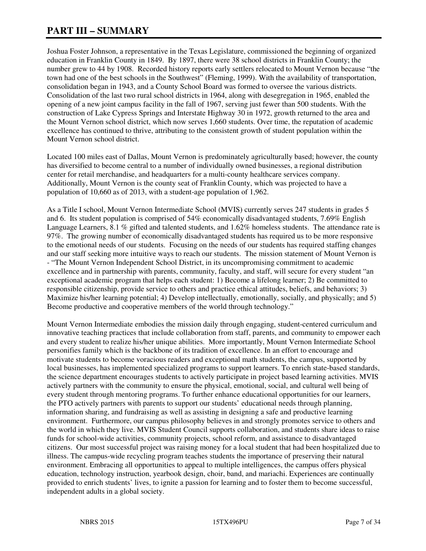# **PART III – SUMMARY**

Joshua Foster Johnson, a representative in the Texas Legislature, commissioned the beginning of organized education in Franklin County in 1849. By 1897, there were 38 school districts in Franklin County; the number grew to 44 by 1908. Recorded history reports early settlers relocated to Mount Vernon because "the town had one of the best schools in the Southwest" (Fleming, 1999). With the availability of transportation, consolidation began in 1943, and a County School Board was formed to oversee the various districts. Consolidation of the last two rural school districts in 1964, along with desegregation in 1965, enabled the opening of a new joint campus facility in the fall of 1967, serving just fewer than 500 students. With the construction of Lake Cypress Springs and Interstate Highway 30 in 1972, growth returned to the area and the Mount Vernon school district, which now serves 1,660 students. Over time, the reputation of academic excellence has continued to thrive, attributing to the consistent growth of student population within the Mount Vernon school district.

Located 100 miles east of Dallas, Mount Vernon is predominately agriculturally based; however, the county has diversified to become central to a number of individually owned businesses, a regional distribution center for retail merchandise, and headquarters for a multi-county healthcare services company. Additionally, Mount Vernon is the county seat of Franklin County, which was projected to have a population of 10,660 as of 2013, with a student-age population of 1,962.

As a Title I school, Mount Vernon Intermediate School (MVIS) currently serves 247 students in grades 5 and 6. Its student population is comprised of 54% economically disadvantaged students, 7.69% English Language Learners, 8.1 % gifted and talented students, and 1.62% homeless students. The attendance rate is 97%. The growing number of economically disadvantaged students has required us to be more responsive to the emotional needs of our students. Focusing on the needs of our students has required staffing changes and our staff seeking more intuitive ways to reach our students. The mission statement of Mount Vernon is - "The Mount Vernon Independent School District, in its uncompromising commitment to academic excellence and in partnership with parents, community, faculty, and staff, will secure for every student "an exceptional academic program that helps each student: 1) Become a lifelong learner; 2) Be committed to responsible citizenship, provide service to others and practice ethical attitudes, beliefs, and behaviors; 3) Maximize his/her learning potential; 4) Develop intellectually, emotionally, socially, and physically; and 5) Become productive and cooperative members of the world through technology."

Mount Vernon Intermediate embodies the mission daily through engaging, student-centered curriculum and innovative teaching practices that include collaboration from staff, parents, and community to empower each and every student to realize his/her unique abilities. More importantly, Mount Vernon Intermediate School personifies family which is the backbone of its tradition of excellence. In an effort to encourage and motivate students to become voracious readers and exceptional math students, the campus, supported by local businesses, has implemented specialized programs to support learners. To enrich state-based standards, the science department encourages students to actively participate in project based learning activities. MVIS actively partners with the community to ensure the physical, emotional, social, and cultural well being of every student through mentoring programs. To further enhance educational opportunities for our learners, the PTO actively partners with parents to support our students' educational needs through planning, information sharing, and fundraising as well as assisting in designing a safe and productive learning environment. Furthermore, our campus philosophy believes in and strongly promotes service to others and the world in which they live. MVIS Student Council supports collaboration, and students share ideas to raise funds for school-wide activities, community projects, school reform, and assistance to disadvantaged citizens. Our most successful project was raising money for a local student that had been hospitalized due to illness. The campus-wide recycling program teaches students the importance of preserving their natural environment. Embracing all opportunities to appeal to multiple intelligences, the campus offers physical education, technology instruction, yearbook design, choir, band, and mariachi. Experiences are continually provided to enrich students' lives, to ignite a passion for learning and to foster them to become successful, independent adults in a global society.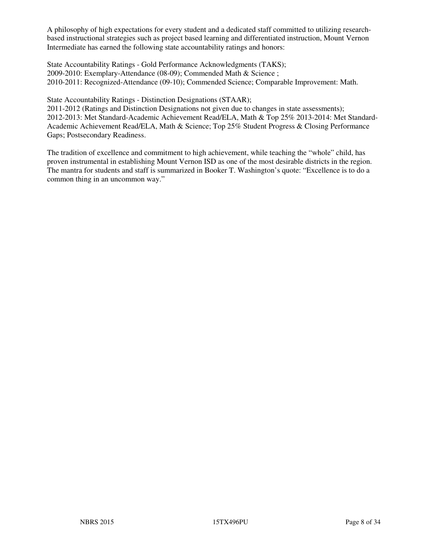A philosophy of high expectations for every student and a dedicated staff committed to utilizing researchbased instructional strategies such as project based learning and differentiated instruction, Mount Vernon Intermediate has earned the following state accountability ratings and honors:

State Accountability Ratings - Gold Performance Acknowledgments (TAKS); 2009-2010: Exemplary-Attendance (08-09); Commended Math & Science ; 2010-2011: Recognized-Attendance (09-10); Commended Science; Comparable Improvement: Math.

State Accountability Ratings - Distinction Designations (STAAR);

2011-2012 (Ratings and Distinction Designations not given due to changes in state assessments); 2012-2013: Met Standard-Academic Achievement Read/ELA, Math & Top 25% 2013-2014: Met Standard-Academic Achievement Read/ELA, Math & Science; Top 25% Student Progress & Closing Performance Gaps; Postsecondary Readiness.

The tradition of excellence and commitment to high achievement, while teaching the "whole" child, has proven instrumental in establishing Mount Vernon ISD as one of the most desirable districts in the region. The mantra for students and staff is summarized in Booker T. Washington's quote: "Excellence is to do a common thing in an uncommon way."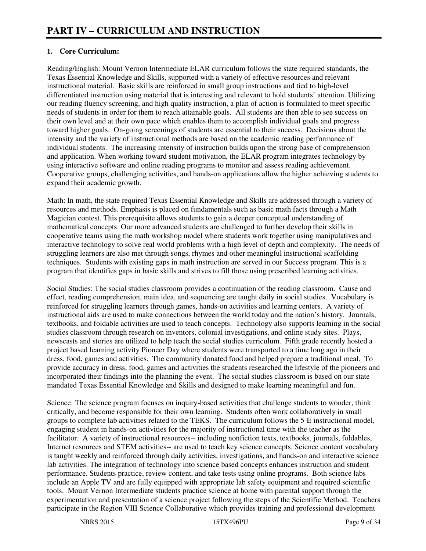# **1. Core Curriculum:**

Reading/English: Mount Vernon Intermediate ELAR curriculum follows the state required standards, the Texas Essential Knowledge and Skills, supported with a variety of effective resources and relevant instructional material. Basic skills are reinforced in small group instructions and tied to high-level differentiated instruction using material that is interesting and relevant to hold students' attention. Utilizing our reading fluency screening, and high quality instruction, a plan of action is formulated to meet specific needs of students in order for them to reach attainable goals. All students are then able to see success on their own level and at their own pace which enables them to accomplish individual goals and progress toward higher goals. On-going screenings of students are essential to their success. Decisions about the intensity and the variety of instructional methods are based on the academic reading performance of individual students. The increasing intensity of instruction builds upon the strong base of comprehension and application. When working toward student motivation, the ELAR program integrates technology by using interactive software and online reading programs to monitor and assess reading achievement. Cooperative groups, challenging activities, and hands-on applications allow the higher achieving students to expand their academic growth.

Math: In math, the state required Texas Essential Knowledge and Skills are addressed through a variety of resources and methods. Emphasis is placed on fundamentals such as basic math facts through a Math Magician contest. This prerequisite allows students to gain a deeper conceptual understanding of mathematical concepts. Our more advanced students are challenged to further develop their skills in cooperative teams using the math workshop model where students work together using manipulatives and interactive technology to solve real world problems with a high level of depth and complexity. The needs of struggling learners are also met through songs, rhymes and other meaningful instructional scaffolding techniques. Students with existing gaps in math instruction are served in our Success program. This is a program that identifies gaps in basic skills and strives to fill those using prescribed learning activities.

Social Studies: The social studies classroom provides a continuation of the reading classroom. Cause and effect, reading comprehension, main idea, and sequencing are taught daily in social studies. Vocabulary is reinforced for struggling learners through games, hands-on activities and learning centers. A variety of instructional aids are used to make connections between the world today and the nation's history. Journals, textbooks, and foldable activities are used to teach concepts. Technology also supports learning in the social studies classroom through research on inventors, colonial investigations, and online study sites. Plays, newscasts and stories are utilized to help teach the social studies curriculum. Fifth grade recently hosted a project based learning activity Pioneer Day where students were transported to a time long ago in their dress, food, games and activities. The community donated food and helped prepare a traditional meal. To provide accuracy in dress, food, games and activities the students researched the lifestyle of the pioneers and incorporated their findings into the planning the event. The social studies classroom is based on our state mandated Texas Essential Knowledge and Skills and designed to make learning meaningful and fun.

Science: The science program focuses on inquiry-based activities that challenge students to wonder, think critically, and become responsible for their own learning. Students often work collaboratively in small groups to complete lab activities related to the TEKS. The curriculum follows the 5-E instructional model, engaging student in hands-on activities for the majority of instructional time with the teacher as the facilitator. A variety of instructional resources-- including nonfiction texts, textbooks, journals, foldables, Internet resources and STEM activities-- are used to teach key science concepts. Science content vocabulary is taught weekly and reinforced through daily activities, investigations, and hands-on and interactive science lab activities. The integration of technology into science based concepts enhances instruction and student performance. Students practice, review content, and take tests using online programs. Both science labs include an Apple TV and are fully equipped with appropriate lab safety equipment and required scientific tools. Mount Vernon Intermediate students practice science at home with parental support through the experimentation and presentation of a science project following the steps of the Scientific Method. Teachers participate in the Region VIII Science Collaborative which provides training and professional development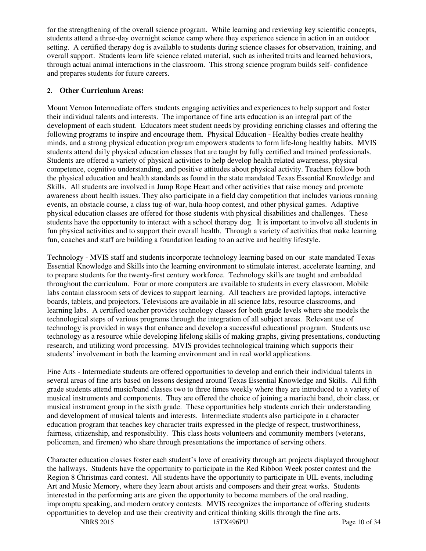for the strengthening of the overall science program. While learning and reviewing key scientific concepts, students attend a three-day overnight science camp where they experience science in action in an outdoor setting. A certified therapy dog is available to students during science classes for observation, training, and overall support. Students learn life science related material, such as inherited traits and learned behaviors, through actual animal interactions in the classroom. This strong science program builds self- confidence and prepares students for future careers.

### **2. Other Curriculum Areas:**

Mount Vernon Intermediate offers students engaging activities and experiences to help support and foster their individual talents and interests. The importance of fine arts education is an integral part of the development of each student. Educators meet student needs by providing enriching classes and offering the following programs to inspire and encourage them. Physical Education - Healthy bodies create healthy minds, and a strong physical education program empowers students to form life-long healthy habits. MVIS students attend daily physical education classes that are taught by fully certified and trained professionals. Students are offered a variety of physical activities to help develop health related awareness, physical competence, cognitive understanding, and positive attitudes about physical activity. Teachers follow both the physical education and health standards as found in the state mandated Texas Essential Knowledge and Skills. All students are involved in Jump Rope Heart and other activities that raise money and promote awareness about health issues. They also participate in a field day competition that includes various running events, an obstacle course, a class tug-of-war, hula-hoop contest, and other physical games. Adaptive physical education classes are offered for those students with physical disabilities and challenges. These students have the opportunity to interact with a school therapy dog. It is important to involve all students in fun physical activities and to support their overall health. Through a variety of activities that make learning fun, coaches and staff are building a foundation leading to an active and healthy lifestyle.

Technology - MVIS staff and students incorporate technology learning based on our state mandated Texas Essential Knowledge and Skills into the learning environment to stimulate interest, accelerate learning, and to prepare students for the twenty-first century workforce. Technology skills are taught and embedded throughout the curriculum. Four or more computers are available to students in every classroom. Mobile labs contain classroom sets of devices to support learning. All teachers are provided laptops, interactive boards, tablets, and projectors. Televisions are available in all science labs, resource classrooms, and learning labs. A certified teacher provides technology classes for both grade levels where she models the technological steps of various programs through the integration of all subject areas. Relevant use of technology is provided in ways that enhance and develop a successful educational program. Students use technology as a resource while developing lifelong skills of making graphs, giving presentations, conducting research, and utilizing word processing. MVIS provides technological training which supports their students' involvement in both the learning environment and in real world applications.

Fine Arts - Intermediate students are offered opportunities to develop and enrich their individual talents in several areas of fine arts based on lessons designed around Texas Essential Knowledge and Skills. All fifth grade students attend music/band classes two to three times weekly where they are introduced to a variety of musical instruments and components. They are offered the choice of joining a mariachi band, choir class, or musical instrument group in the sixth grade. These opportunities help students enrich their understanding and development of musical talents and interests. Intermediate students also participate in a character education program that teaches key character traits expressed in the pledge of respect, trustworthiness, fairness, citizenship, and responsibility. This class hosts volunteers and community members (veterans, policemen, and firemen) who share through presentations the importance of serving others.

Character education classes foster each student's love of creativity through art projects displayed throughout the hallways. Students have the opportunity to participate in the Red Ribbon Week poster contest and the Region 8 Christmas card contest. All students have the opportunity to participate in UIL events, including Art and Music Memory, where they learn about artists and composers and their great works. Students interested in the performing arts are given the opportunity to become members of the oral reading, impromptu speaking, and modern oratory contests. MVIS recognizes the importance of offering students opportunities to develop and use their creativity and critical thinking skills through the fine arts.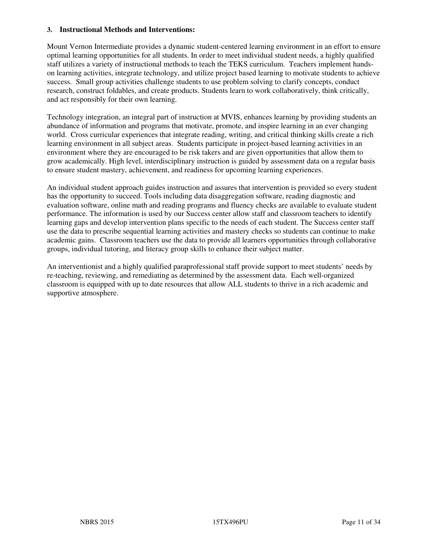#### **3. Instructional Methods and Interventions:**

Mount Vernon Intermediate provides a dynamic student-centered learning environment in an effort to ensure optimal learning opportunities for all students. In order to meet individual student needs, a highly qualified staff utilizes a variety of instructional methods to teach the TEKS curriculum. Teachers implement handson learning activities, integrate technology, and utilize project based learning to motivate students to achieve success. Small group activities challenge students to use problem solving to clarify concepts, conduct research, construct foldables, and create products. Students learn to work collaboratively, think critically, and act responsibly for their own learning.

Technology integration, an integral part of instruction at MVIS, enhances learning by providing students an abundance of information and programs that motivate, promote, and inspire learning in an ever changing world. Cross curricular experiences that integrate reading, writing, and critical thinking skills create a rich learning environment in all subject areas. Students participate in project-based learning activities in an environment where they are encouraged to be risk takers and are given opportunities that allow them to grow academically. High level, interdisciplinary instruction is guided by assessment data on a regular basis to ensure student mastery, achievement, and readiness for upcoming learning experiences.

An individual student approach guides instruction and assures that intervention is provided so every student has the opportunity to succeed. Tools including data disaggregation software, reading diagnostic and evaluation software, online math and reading programs and fluency checks are available to evaluate student performance. The information is used by our Success center allow staff and classroom teachers to identify learning gaps and develop intervention plans specific to the needs of each student. The Success center staff use the data to prescribe sequential learning activities and mastery checks so students can continue to make academic gains. Classroom teachers use the data to provide all learners opportunities through collaborative groups, individual tutoring, and literacy group skills to enhance their subject matter.

An interventionist and a highly qualified paraprofessional staff provide support to meet students' needs by re-teaching, reviewing, and remediating as determined by the assessment data. Each well-organized classroom is equipped with up to date resources that allow ALL students to thrive in a rich academic and supportive atmosphere.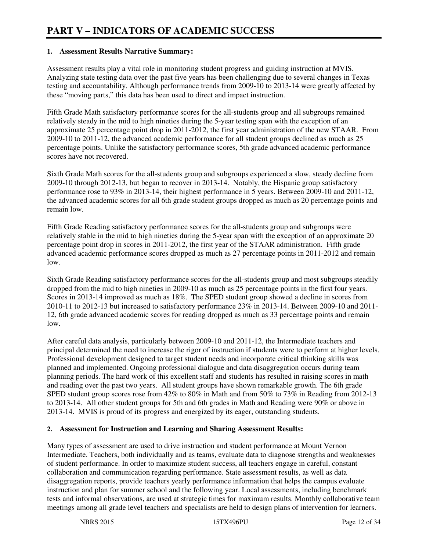#### **1. Assessment Results Narrative Summary:**

Assessment results play a vital role in monitoring student progress and guiding instruction at MVIS. Analyzing state testing data over the past five years has been challenging due to several changes in Texas testing and accountability. Although performance trends from 2009-10 to 2013-14 were greatly affected by these "moving parts," this data has been used to direct and impact instruction.

Fifth Grade Math satisfactory performance scores for the all-students group and all subgroups remained relatively steady in the mid to high nineties during the 5-year testing span with the exception of an approximate 25 percentage point drop in 2011-2012, the first year administration of the new STAAR. From 2009-10 to 2011-12, the advanced academic performance for all student groups declined as much as 25 percentage points. Unlike the satisfactory performance scores, 5th grade advanced academic performance scores have not recovered.

Sixth Grade Math scores for the all-students group and subgroups experienced a slow, steady decline from 2009-10 through 2012-13, but began to recover in 2013-14. Notably, the Hispanic group satisfactory performance rose to 93% in 2013-14, their highest performance in 5 years. Between 2009-10 and 2011-12, the advanced academic scores for all 6th grade student groups dropped as much as 20 percentage points and remain low.

Fifth Grade Reading satisfactory performance scores for the all-students group and subgroups were relatively stable in the mid to high nineties during the 5-year span with the exception of an approximate 20 percentage point drop in scores in 2011-2012, the first year of the STAAR administration. Fifth grade advanced academic performance scores dropped as much as 27 percentage points in 2011-2012 and remain low.

Sixth Grade Reading satisfactory performance scores for the all-students group and most subgroups steadily dropped from the mid to high nineties in 2009-10 as much as 25 percentage points in the first four years. Scores in 2013-14 improved as much as 18%. The SPED student group showed a decline in scores from 2010-11 to 2012-13 but increased to satisfactory performance 23% in 2013-14. Between 2009-10 and 2011- 12, 6th grade advanced academic scores for reading dropped as much as 33 percentage points and remain low.

After careful data analysis, particularly between 2009-10 and 2011-12, the Intermediate teachers and principal determined the need to increase the rigor of instruction if students were to perform at higher levels. Professional development designed to target student needs and incorporate critical thinking skills was planned and implemented. Ongoing professional dialogue and data disaggregation occurs during team planning periods. The hard work of this excellent staff and students has resulted in raising scores in math and reading over the past two years. All student groups have shown remarkable growth. The 6th grade SPED student group scores rose from 42% to 80% in Math and from 50% to 73% in Reading from 2012-13 to 2013-14. All other student groups for 5th and 6th grades in Math and Reading were 90% or above in 2013-14. MVIS is proud of its progress and energized by its eager, outstanding students.

#### **2. Assessment for Instruction and Learning and Sharing Assessment Results:**

Many types of assessment are used to drive instruction and student performance at Mount Vernon Intermediate. Teachers, both individually and as teams, evaluate data to diagnose strengths and weaknesses of student performance. In order to maximize student success, all teachers engage in careful, constant collaboration and communication regarding performance. State assessment results, as well as data disaggregation reports, provide teachers yearly performance information that helps the campus evaluate instruction and plan for summer school and the following year. Local assessments, including benchmark tests and informal observations, are used at strategic times for maximum results. Monthly collaborative team meetings among all grade level teachers and specialists are held to design plans of intervention for learners.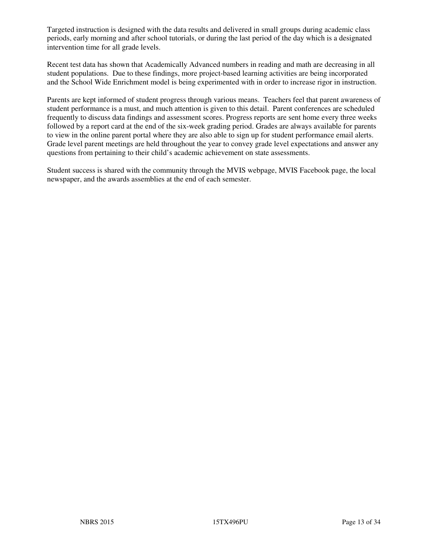Targeted instruction is designed with the data results and delivered in small groups during academic class periods, early morning and after school tutorials, or during the last period of the day which is a designated intervention time for all grade levels.

Recent test data has shown that Academically Advanced numbers in reading and math are decreasing in all student populations. Due to these findings, more project-based learning activities are being incorporated and the School Wide Enrichment model is being experimented with in order to increase rigor in instruction.

Parents are kept informed of student progress through various means. Teachers feel that parent awareness of student performance is a must, and much attention is given to this detail. Parent conferences are scheduled frequently to discuss data findings and assessment scores. Progress reports are sent home every three weeks followed by a report card at the end of the six-week grading period. Grades are always available for parents to view in the online parent portal where they are also able to sign up for student performance email alerts. Grade level parent meetings are held throughout the year to convey grade level expectations and answer any questions from pertaining to their child's academic achievement on state assessments.

Student success is shared with the community through the MVIS webpage, MVIS Facebook page, the local newspaper, and the awards assemblies at the end of each semester.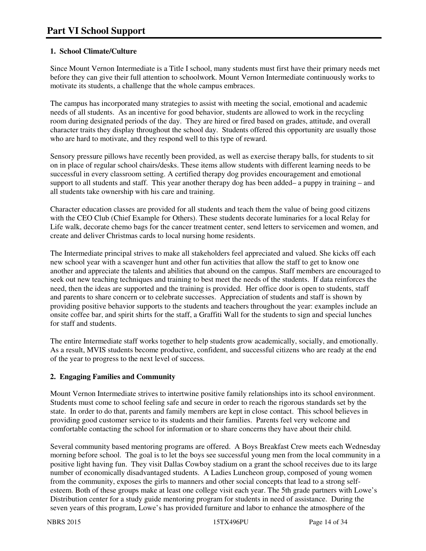# **1. School Climate/Culture**

Since Mount Vernon Intermediate is a Title I school, many students must first have their primary needs met before they can give their full attention to schoolwork. Mount Vernon Intermediate continuously works to motivate its students, a challenge that the whole campus embraces.

The campus has incorporated many strategies to assist with meeting the social, emotional and academic needs of all students. As an incentive for good behavior, students are allowed to work in the recycling room during designated periods of the day. They are hired or fired based on grades, attitude, and overall character traits they display throughout the school day. Students offered this opportunity are usually those who are hard to motivate, and they respond well to this type of reward.

Sensory pressure pillows have recently been provided, as well as exercise therapy balls, for students to sit on in place of regular school chairs/desks. These items allow students with different learning needs to be successful in every classroom setting. A certified therapy dog provides encouragement and emotional support to all students and staff. This year another therapy dog has been added– a puppy in training – and all students take ownership with his care and training.

Character education classes are provided for all students and teach them the value of being good citizens with the CEO Club (Chief Example for Others). These students decorate luminaries for a local Relay for Life walk, decorate chemo bags for the cancer treatment center, send letters to servicemen and women, and create and deliver Christmas cards to local nursing home residents.

The Intermediate principal strives to make all stakeholders feel appreciated and valued. She kicks off each new school year with a scavenger hunt and other fun activities that allow the staff to get to know one another and appreciate the talents and abilities that abound on the campus. Staff members are encouraged to seek out new teaching techniques and training to best meet the needs of the students. If data reinforces the need, then the ideas are supported and the training is provided. Her office door is open to students, staff and parents to share concern or to celebrate successes. Appreciation of students and staff is shown by providing positive behavior supports to the students and teachers throughout the year: examples include an onsite coffee bar, and spirit shirts for the staff, a Graffiti Wall for the students to sign and special lunches for staff and students.

The entire Intermediate staff works together to help students grow academically, socially, and emotionally. As a result, MVIS students become productive, confident, and successful citizens who are ready at the end of the year to progress to the next level of success.

# **2. Engaging Families and Community**

Mount Vernon Intermediate strives to intertwine positive family relationships into its school environment. Students must come to school feeling safe and secure in order to reach the rigorous standards set by the state. In order to do that, parents and family members are kept in close contact. This school believes in providing good customer service to its students and their families. Parents feel very welcome and comfortable contacting the school for information or to share concerns they have about their child.

Several community based mentoring programs are offered. A Boys Breakfast Crew meets each Wednesday morning before school. The goal is to let the boys see successful young men from the local community in a positive light having fun. They visit Dallas Cowboy stadium on a grant the school receives due to its large number of economically disadvantaged students. A Ladies Luncheon group, composed of young women from the community, exposes the girls to manners and other social concepts that lead to a strong selfesteem. Both of these groups make at least one college visit each year. The 5th grade partners with Lowe's Distribution center for a study guide mentoring program for students in need of assistance. During the seven years of this program, Lowe's has provided furniture and labor to enhance the atmosphere of the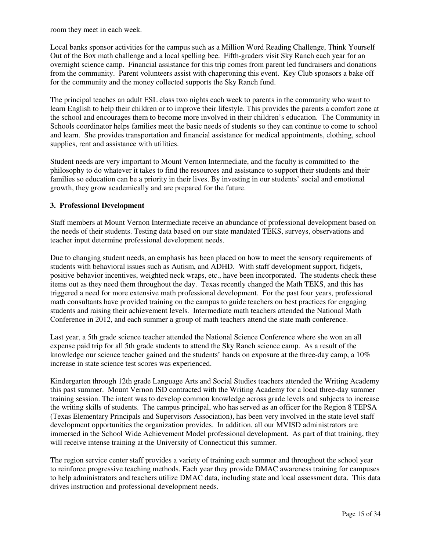room they meet in each week.

Local banks sponsor activities for the campus such as a Million Word Reading Challenge, Think Yourself Out of the Box math challenge and a local spelling bee. Fifth-graders visit Sky Ranch each year for an overnight science camp. Financial assistance for this trip comes from parent led fundraisers and donations from the community. Parent volunteers assist with chaperoning this event. Key Club sponsors a bake off for the community and the money collected supports the Sky Ranch fund.

The principal teaches an adult ESL class two nights each week to parents in the community who want to learn English to help their children or to improve their lifestyle. This provides the parents a comfort zone at the school and encourages them to become more involved in their children's education. The Community in Schools coordinator helps families meet the basic needs of students so they can continue to come to school and learn. She provides transportation and financial assistance for medical appointments, clothing, school supplies, rent and assistance with utilities.

Student needs are very important to Mount Vernon Intermediate, and the faculty is committed to the philosophy to do whatever it takes to find the resources and assistance to support their students and their families so education can be a priority in their lives. By investing in our students' social and emotional growth, they grow academically and are prepared for the future.

#### **3. Professional Development**

Staff members at Mount Vernon Intermediate receive an abundance of professional development based on the needs of their students. Testing data based on our state mandated TEKS, surveys, observations and teacher input determine professional development needs.

Due to changing student needs, an emphasis has been placed on how to meet the sensory requirements of students with behavioral issues such as Autism, and ADHD. With staff development support, fidgets, positive behavior incentives, weighted neck wraps, etc., have been incorporated. The students check these items out as they need them throughout the day. Texas recently changed the Math TEKS, and this has triggered a need for more extensive math professional development. For the past four years, professional math consultants have provided training on the campus to guide teachers on best practices for engaging students and raising their achievement levels. Intermediate math teachers attended the National Math Conference in 2012, and each summer a group of math teachers attend the state math conference.

Last year, a 5th grade science teacher attended the National Science Conference where she won an all expense paid trip for all 5th grade students to attend the Sky Ranch science camp. As a result of the knowledge our science teacher gained and the students' hands on exposure at the three-day camp, a 10% increase in state science test scores was experienced.

Kindergarten through 12th grade Language Arts and Social Studies teachers attended the Writing Academy this past summer. Mount Vernon ISD contracted with the Writing Academy for a local three-day summer training session. The intent was to develop common knowledge across grade levels and subjects to increase the writing skills of students. The campus principal, who has served as an officer for the Region 8 TEPSA (Texas Elementary Principals and Supervisors Association), has been very involved in the state level staff development opportunities the organization provides. In addition, all our MVISD administrators are immersed in the School Wide Achievement Model professional development. As part of that training, they will receive intense training at the University of Connecticut this summer.

The region service center staff provides a variety of training each summer and throughout the school year to reinforce progressive teaching methods. Each year they provide DMAC awareness training for campuses to help administrators and teachers utilize DMAC data, including state and local assessment data. This data drives instruction and professional development needs.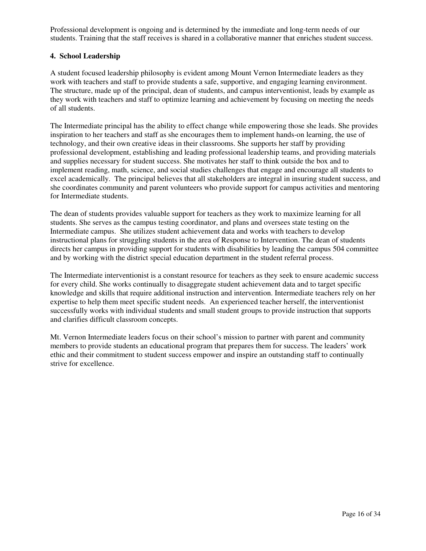Professional development is ongoing and is determined by the immediate and long-term needs of our students. Training that the staff receives is shared in a collaborative manner that enriches student success.

#### **4. School Leadership**

A student focused leadership philosophy is evident among Mount Vernon Intermediate leaders as they work with teachers and staff to provide students a safe, supportive, and engaging learning environment. The structure, made up of the principal, dean of students, and campus interventionist, leads by example as they work with teachers and staff to optimize learning and achievement by focusing on meeting the needs of all students.

The Intermediate principal has the ability to effect change while empowering those she leads. She provides inspiration to her teachers and staff as she encourages them to implement hands-on learning, the use of technology, and their own creative ideas in their classrooms. She supports her staff by providing professional development, establishing and leading professional leadership teams, and providing materials and supplies necessary for student success. She motivates her staff to think outside the box and to implement reading, math, science, and social studies challenges that engage and encourage all students to excel academically. The principal believes that all stakeholders are integral in insuring student success, and she coordinates community and parent volunteers who provide support for campus activities and mentoring for Intermediate students.

The dean of students provides valuable support for teachers as they work to maximize learning for all students. She serves as the campus testing coordinator, and plans and oversees state testing on the Intermediate campus. She utilizes student achievement data and works with teachers to develop instructional plans for struggling students in the area of Response to Intervention. The dean of students directs her campus in providing support for students with disabilities by leading the campus 504 committee and by working with the district special education department in the student referral process.

The Intermediate interventionist is a constant resource for teachers as they seek to ensure academic success for every child. She works continually to disaggregate student achievement data and to target specific knowledge and skills that require additional instruction and intervention. Intermediate teachers rely on her expertise to help them meet specific student needs. An experienced teacher herself, the interventionist successfully works with individual students and small student groups to provide instruction that supports and clarifies difficult classroom concepts.

Mt. Vernon Intermediate leaders focus on their school's mission to partner with parent and community members to provide students an educational program that prepares them for success. The leaders' work ethic and their commitment to student success empower and inspire an outstanding staff to continually strive for excellence.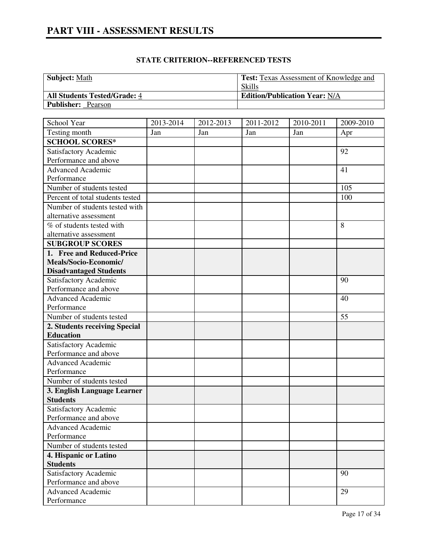| <b>Subject: Math</b>                | <b>Test:</b> Texas Assessment of Knowledge and |
|-------------------------------------|------------------------------------------------|
|                                     | <b>Skills</b>                                  |
| <b>All Students Tested/Grade: 4</b> | <b>Edition/Publication Year: N/A</b>           |
| <b>Publisher:</b> Pearson           |                                                |

| School Year                      | 2013-2014 | 2012-2013 | 2011-2012 | 2010-2011 | 2009-2010 |
|----------------------------------|-----------|-----------|-----------|-----------|-----------|
| Testing month                    | Jan       | Jan       | Jan       | Jan       | Apr       |
| <b>SCHOOL SCORES*</b>            |           |           |           |           |           |
| Satisfactory Academic            |           |           |           |           | 92        |
| Performance and above            |           |           |           |           |           |
| Advanced Academic                |           |           |           |           | 41        |
| Performance                      |           |           |           |           |           |
| Number of students tested        |           |           |           |           | 105       |
| Percent of total students tested |           |           |           |           | 100       |
| Number of students tested with   |           |           |           |           |           |
| alternative assessment           |           |           |           |           |           |
| $%$ of students tested with      |           |           |           |           | 8         |
| alternative assessment           |           |           |           |           |           |
| <b>SUBGROUP SCORES</b>           |           |           |           |           |           |
| 1. Free and Reduced-Price        |           |           |           |           |           |
| Meals/Socio-Economic/            |           |           |           |           |           |
| <b>Disadvantaged Students</b>    |           |           |           |           |           |
| Satisfactory Academic            |           |           |           |           | 90        |
| Performance and above            |           |           |           |           |           |
| <b>Advanced Academic</b>         |           |           |           |           | 40        |
| Performance                      |           |           |           |           |           |
| Number of students tested        |           |           |           |           | 55        |
| 2. Students receiving Special    |           |           |           |           |           |
| <b>Education</b>                 |           |           |           |           |           |
| Satisfactory Academic            |           |           |           |           |           |
| Performance and above            |           |           |           |           |           |
| <b>Advanced Academic</b>         |           |           |           |           |           |
| Performance                      |           |           |           |           |           |
| Number of students tested        |           |           |           |           |           |
| 3. English Language Learner      |           |           |           |           |           |
| <b>Students</b>                  |           |           |           |           |           |
| Satisfactory Academic            |           |           |           |           |           |
| Performance and above            |           |           |           |           |           |
| Advanced Academic                |           |           |           |           |           |
| Performance                      |           |           |           |           |           |
| Number of students tested        |           |           |           |           |           |
| 4. Hispanic or Latino            |           |           |           |           |           |
| <b>Students</b>                  |           |           |           |           |           |
| Satisfactory Academic            |           |           |           |           | 90        |
| Performance and above            |           |           |           |           |           |
| <b>Advanced Academic</b>         |           |           |           |           | 29        |
| Performance                      |           |           |           |           |           |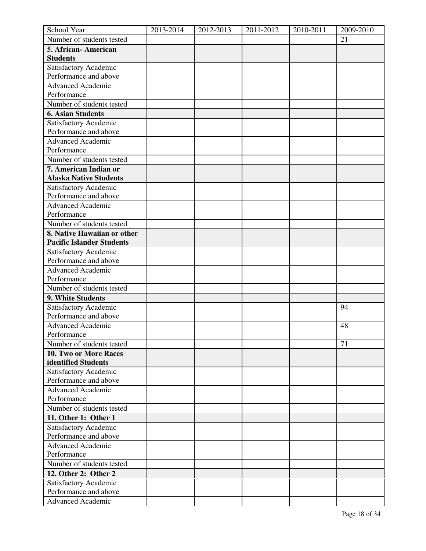| School Year                      | 2013-2014 | 2012-2013 | 2011-2012 | 2010-2011 | 2009-2010 |
|----------------------------------|-----------|-----------|-----------|-----------|-----------|
| Number of students tested        |           |           |           |           | 21        |
| 5. African-American              |           |           |           |           |           |
| <b>Students</b>                  |           |           |           |           |           |
| Satisfactory Academic            |           |           |           |           |           |
| Performance and above            |           |           |           |           |           |
| <b>Advanced Academic</b>         |           |           |           |           |           |
| Performance                      |           |           |           |           |           |
| Number of students tested        |           |           |           |           |           |
| <b>6. Asian Students</b>         |           |           |           |           |           |
| Satisfactory Academic            |           |           |           |           |           |
| Performance and above            |           |           |           |           |           |
| <b>Advanced Academic</b>         |           |           |           |           |           |
| Performance                      |           |           |           |           |           |
| Number of students tested        |           |           |           |           |           |
| 7. American Indian or            |           |           |           |           |           |
| <b>Alaska Native Students</b>    |           |           |           |           |           |
| Satisfactory Academic            |           |           |           |           |           |
| Performance and above            |           |           |           |           |           |
| <b>Advanced Academic</b>         |           |           |           |           |           |
| Performance                      |           |           |           |           |           |
| Number of students tested        |           |           |           |           |           |
| 8. Native Hawaiian or other      |           |           |           |           |           |
| <b>Pacific Islander Students</b> |           |           |           |           |           |
| Satisfactory Academic            |           |           |           |           |           |
| Performance and above            |           |           |           |           |           |
| <b>Advanced Academic</b>         |           |           |           |           |           |
| Performance                      |           |           |           |           |           |
| Number of students tested        |           |           |           |           |           |
| 9. White Students                |           |           |           |           |           |
| Satisfactory Academic            |           |           |           |           | 94        |
| Performance and above            |           |           |           |           |           |
| <b>Advanced Academic</b>         |           |           |           |           | 48        |
| Performance                      |           |           |           |           |           |
| Number of students tested        |           |           |           |           | 71        |
| 10. Two or More Races            |           |           |           |           |           |
| identified Students              |           |           |           |           |           |
| Satisfactory Academic            |           |           |           |           |           |
| Performance and above            |           |           |           |           |           |
| <b>Advanced Academic</b>         |           |           |           |           |           |
| Performance                      |           |           |           |           |           |
| Number of students tested        |           |           |           |           |           |
| 11. Other 1: Other 1             |           |           |           |           |           |
| Satisfactory Academic            |           |           |           |           |           |
| Performance and above            |           |           |           |           |           |
| <b>Advanced Academic</b>         |           |           |           |           |           |
| Performance                      |           |           |           |           |           |
| Number of students tested        |           |           |           |           |           |
| 12. Other 2: Other 2             |           |           |           |           |           |
| Satisfactory Academic            |           |           |           |           |           |
| Performance and above            |           |           |           |           |           |
| <b>Advanced Academic</b>         |           |           |           |           |           |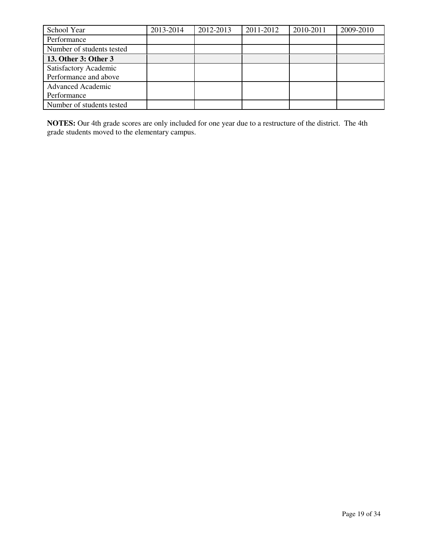| School Year               | 2013-2014 | 2012-2013 | 2011-2012 | 2010-2011 | 2009-2010 |
|---------------------------|-----------|-----------|-----------|-----------|-----------|
| Performance               |           |           |           |           |           |
| Number of students tested |           |           |           |           |           |
| 13. Other 3: Other 3      |           |           |           |           |           |
| Satisfactory Academic     |           |           |           |           |           |
| Performance and above     |           |           |           |           |           |
| <b>Advanced Academic</b>  |           |           |           |           |           |
| Performance               |           |           |           |           |           |
| Number of students tested |           |           |           |           |           |

**NOTES:** Our 4th grade scores are only included for one year due to a restructure of the district. The 4th grade students moved to the elementary campus.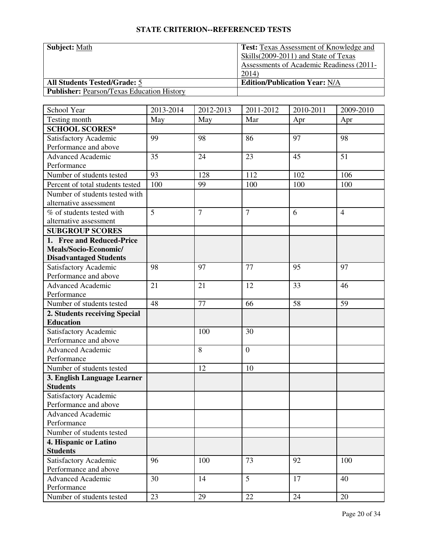| <b>Subject: Math</b>                              | <b>Test:</b> Texas Assessment of Knowledge and  |
|---------------------------------------------------|-------------------------------------------------|
|                                                   | Skills (2009-2011) and State of Texas           |
|                                                   | <b>Assessments of Academic Readiness (2011-</b> |
|                                                   | 2014                                            |
| <b>All Students Tested/Grade: 5</b>               | <b>Edition/Publication Year: N/A</b>            |
| <b>Publisher: Pearson/Texas Education History</b> |                                                 |

| School Year                                       | 2013-2014 | $\overline{20}$ 12-2013 | 2011-2012      | 2010-2011 | 2009-2010      |
|---------------------------------------------------|-----------|-------------------------|----------------|-----------|----------------|
| Testing month                                     | May       | May                     | Mar            | Apr       | Apr            |
| <b>SCHOOL SCORES*</b>                             |           |                         |                |           |                |
| Satisfactory Academic                             | 99        | 98                      | 86             | 97        | 98             |
| Performance and above                             |           |                         |                |           |                |
| <b>Advanced Academic</b>                          | 35        | 24                      | 23             | 45        | 51             |
| Performance                                       |           |                         |                |           |                |
| Number of students tested                         | 93        | 128                     | 112            | 102       | 106            |
| Percent of total students tested                  | 100       | 99                      | 100            | 100       | 100            |
| Number of students tested with                    |           |                         |                |           |                |
| alternative assessment                            |           |                         |                |           |                |
| % of students tested with                         | 5         | $\overline{7}$          | $\overline{7}$ | 6         | $\overline{4}$ |
| alternative assessment                            |           |                         |                |           |                |
| <b>SUBGROUP SCORES</b>                            |           |                         |                |           |                |
| 1. Free and Reduced-Price                         |           |                         |                |           |                |
| Meals/Socio-Economic/                             |           |                         |                |           |                |
| <b>Disadvantaged Students</b>                     |           |                         |                |           |                |
| Satisfactory Academic                             | 98        | 97                      | 77             | 95        | 97             |
| Performance and above                             |           |                         |                |           |                |
| Advanced Academic                                 | 21        | 21                      | 12             | 33        | 46             |
| Performance                                       |           |                         |                |           |                |
| Number of students tested                         | 48        | 77                      | 66             | 58        | 59             |
| 2. Students receiving Special<br><b>Education</b> |           |                         |                |           |                |
|                                                   |           |                         | 30             |           |                |
| Satisfactory Academic<br>Performance and above    |           | 100                     |                |           |                |
| <b>Advanced Academic</b>                          |           | 8                       | $\overline{0}$ |           |                |
| Performance                                       |           |                         |                |           |                |
| Number of students tested                         |           | 12                      | 10             |           |                |
| 3. English Language Learner                       |           |                         |                |           |                |
| <b>Students</b>                                   |           |                         |                |           |                |
| Satisfactory Academic                             |           |                         |                |           |                |
| Performance and above                             |           |                         |                |           |                |
| <b>Advanced Academic</b>                          |           |                         |                |           |                |
| Performance                                       |           |                         |                |           |                |
| Number of students tested                         |           |                         |                |           |                |
| 4. Hispanic or Latino                             |           |                         |                |           |                |
| <b>Students</b>                                   |           |                         |                |           |                |
| Satisfactory Academic                             | 96        | 100                     | 73             | 92        | 100            |
| Performance and above                             |           |                         |                |           |                |
| <b>Advanced Academic</b>                          | 30        | 14                      | 5 <sup>5</sup> | 17        | 40             |
| Performance                                       |           |                         |                |           |                |
| Number of students tested                         | 23        | 29                      | 22             | 24        | 20             |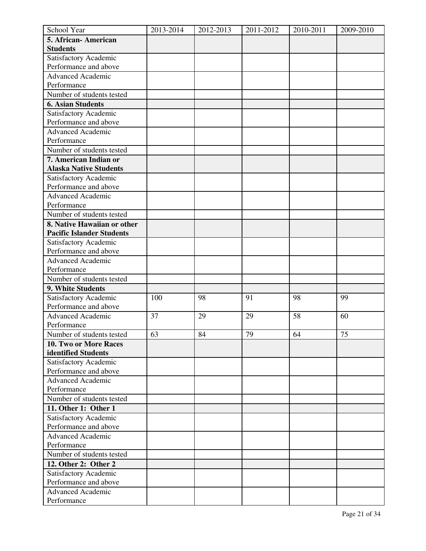| School Year                      | 2013-2014 | 2012-2013 | 2011-2012 | 2010-2011 | 2009-2010 |
|----------------------------------|-----------|-----------|-----------|-----------|-----------|
| 5. African-American              |           |           |           |           |           |
| <b>Students</b>                  |           |           |           |           |           |
| Satisfactory Academic            |           |           |           |           |           |
| Performance and above            |           |           |           |           |           |
| <b>Advanced Academic</b>         |           |           |           |           |           |
| Performance                      |           |           |           |           |           |
| Number of students tested        |           |           |           |           |           |
| <b>6. Asian Students</b>         |           |           |           |           |           |
| Satisfactory Academic            |           |           |           |           |           |
| Performance and above            |           |           |           |           |           |
| <b>Advanced Academic</b>         |           |           |           |           |           |
| Performance                      |           |           |           |           |           |
| Number of students tested        |           |           |           |           |           |
| 7. American Indian or            |           |           |           |           |           |
| <b>Alaska Native Students</b>    |           |           |           |           |           |
| Satisfactory Academic            |           |           |           |           |           |
| Performance and above            |           |           |           |           |           |
| <b>Advanced Academic</b>         |           |           |           |           |           |
| Performance                      |           |           |           |           |           |
| Number of students tested        |           |           |           |           |           |
| 8. Native Hawaiian or other      |           |           |           |           |           |
| <b>Pacific Islander Students</b> |           |           |           |           |           |
| Satisfactory Academic            |           |           |           |           |           |
| Performance and above            |           |           |           |           |           |
| <b>Advanced Academic</b>         |           |           |           |           |           |
| Performance                      |           |           |           |           |           |
| Number of students tested        |           |           |           |           |           |
| 9. White Students                |           |           |           |           |           |
| Satisfactory Academic            | 100       | 98        | 91        | 98        | 99        |
| Performance and above            |           |           |           |           |           |
| <b>Advanced Academic</b>         | 37        | 29        | 29        | 58        | 60        |
| Performance                      |           |           |           |           |           |
| Number of students tested        | 63        | 84        | 79        | 64        | 75        |
| 10. Two or More Races            |           |           |           |           |           |
| identified Students              |           |           |           |           |           |
| Satisfactory Academic            |           |           |           |           |           |
| Performance and above            |           |           |           |           |           |
| <b>Advanced Academic</b>         |           |           |           |           |           |
| Performance                      |           |           |           |           |           |
| Number of students tested        |           |           |           |           |           |
| 11. Other 1: Other 1             |           |           |           |           |           |
| Satisfactory Academic            |           |           |           |           |           |
| Performance and above            |           |           |           |           |           |
| <b>Advanced Academic</b>         |           |           |           |           |           |
| Performance                      |           |           |           |           |           |
| Number of students tested        |           |           |           |           |           |
| 12. Other 2: Other 2             |           |           |           |           |           |
| Satisfactory Academic            |           |           |           |           |           |
| Performance and above            |           |           |           |           |           |
| <b>Advanced Academic</b>         |           |           |           |           |           |
| Performance                      |           |           |           |           |           |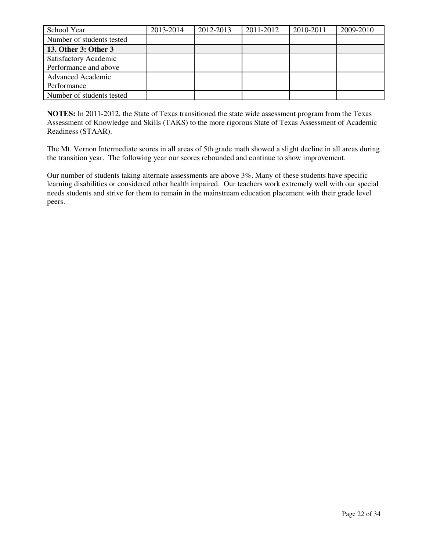| School Year                                    | 2013-2014 | 2012-2013 | 2011-2012 | 2010-2011 | 2009-2010 |
|------------------------------------------------|-----------|-----------|-----------|-----------|-----------|
| Number of students tested                      |           |           |           |           |           |
| 13. Other 3: Other 3                           |           |           |           |           |           |
| Satisfactory Academic<br>Performance and above |           |           |           |           |           |
| <b>Advanced Academic</b><br>Performance        |           |           |           |           |           |
| Number of students tested                      |           |           |           |           |           |

**NOTES:** In 2011-2012, the State of Texas transitioned the state wide assessment program from the Texas Assessment of Knowledge and Skills (TAKS) to the more rigorous State of Texas Assessment of Academic Readiness (STAAR).

The Mt. Vernon Intermediate scores in all areas of 5th grade math showed a slight decline in all areas during the transition year. The following year our scores rebounded and continue to show improvement.

Our number of students taking alternate assessments are above 3%. Many of these students have specific learning disabilities or considered other health impaired. Our teachers work extremely well with our special needs students and strive for them to remain in the mainstream education placement with their grade level peers.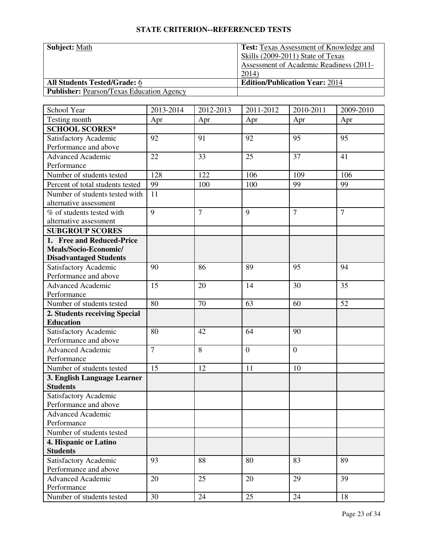| <b>Subject: Math</b>                             | <b>Test:</b> Texas Assessment of Knowledge and |
|--------------------------------------------------|------------------------------------------------|
|                                                  | Skills (2009-2011) State of Texas              |
|                                                  | <b>Assessment of Academic Readiness (2011-</b> |
|                                                  | 2014)                                          |
| <b>All Students Tested/Grade: 6</b>              | <b>Edition/Publication Year: 2014</b>          |
| <b>Publisher: Pearson/Texas Education Agency</b> |                                                |

| School Year                      | 2013-2014      | 2012-2013      | 2011-2012      | 2010-2011      | 2009-2010      |
|----------------------------------|----------------|----------------|----------------|----------------|----------------|
| Testing month                    | Apr            | Apr            | Apr            | Apr            | Apr            |
| <b>SCHOOL SCORES*</b>            |                |                |                |                |                |
| Satisfactory Academic            | 92             | 91             | 92             | 95             | 95             |
| Performance and above            |                |                |                |                |                |
| <b>Advanced Academic</b>         | 22             | 33             | 25             | 37             | 41             |
| Performance                      |                |                |                |                |                |
| Number of students tested        | 128            | 122            | 106            | 109            | 106            |
| Percent of total students tested | 99             | 100            | 100            | 99             | 99             |
| Number of students tested with   | 11             |                |                |                |                |
| alternative assessment           |                |                |                |                |                |
| % of students tested with        | 9              | $\overline{7}$ | 9              | $\overline{7}$ | $\overline{7}$ |
| alternative assessment           |                |                |                |                |                |
| <b>SUBGROUP SCORES</b>           |                |                |                |                |                |
| 1. Free and Reduced-Price        |                |                |                |                |                |
| Meals/Socio-Economic/            |                |                |                |                |                |
| <b>Disadvantaged Students</b>    |                |                |                |                |                |
| Satisfactory Academic            | 90             | 86             | 89             | 95             | 94             |
| Performance and above            |                |                |                |                |                |
| Advanced Academic                | 15             | 20             | 14             | 30             | 35             |
| Performance                      |                |                |                |                |                |
| Number of students tested        | 80             | 70             | 63             | 60             | 52             |
| 2. Students receiving Special    |                |                |                |                |                |
| <b>Education</b>                 |                |                |                |                |                |
| Satisfactory Academic            | 80             | 42             | 64             | 90             |                |
| Performance and above            |                |                |                |                |                |
| <b>Advanced Academic</b>         | $\overline{7}$ | 8              | $\overline{0}$ | $\overline{0}$ |                |
| Performance                      |                |                |                |                |                |
| Number of students tested        | 15             | 12             | 11             | 10             |                |
| 3. English Language Learner      |                |                |                |                |                |
| <b>Students</b>                  |                |                |                |                |                |
| Satisfactory Academic            |                |                |                |                |                |
| Performance and above            |                |                |                |                |                |
| <b>Advanced Academic</b>         |                |                |                |                |                |
| Performance                      |                |                |                |                |                |
| Number of students tested        |                |                |                |                |                |
| 4. Hispanic or Latino            |                |                |                |                |                |
| <b>Students</b>                  |                |                |                |                |                |
| Satisfactory Academic            | 93             | 88             | 80             | 83             | 89             |
| Performance and above            |                |                |                |                |                |
| <b>Advanced Academic</b>         | 20             | 25             | 20             | 29             | 39             |
| Performance                      |                |                |                |                |                |
| Number of students tested        | 30             | 24             | 25             | 24             | 18             |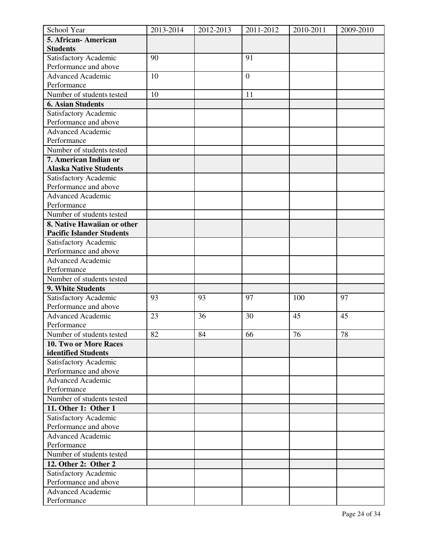| School Year                      | 2013-2014 | 2012-2013 | 2011-2012        | 2010-2011 | 2009-2010 |
|----------------------------------|-----------|-----------|------------------|-----------|-----------|
| 5. African-American              |           |           |                  |           |           |
| <b>Students</b>                  |           |           |                  |           |           |
| Satisfactory Academic            | 90        |           | 91               |           |           |
| Performance and above            |           |           |                  |           |           |
| <b>Advanced Academic</b>         | 10        |           | $\boldsymbol{0}$ |           |           |
| Performance                      |           |           |                  |           |           |
| Number of students tested        | 10        |           | 11               |           |           |
| <b>6. Asian Students</b>         |           |           |                  |           |           |
| Satisfactory Academic            |           |           |                  |           |           |
| Performance and above            |           |           |                  |           |           |
| <b>Advanced Academic</b>         |           |           |                  |           |           |
| Performance                      |           |           |                  |           |           |
| Number of students tested        |           |           |                  |           |           |
| 7. American Indian or            |           |           |                  |           |           |
| <b>Alaska Native Students</b>    |           |           |                  |           |           |
| Satisfactory Academic            |           |           |                  |           |           |
| Performance and above            |           |           |                  |           |           |
| <b>Advanced Academic</b>         |           |           |                  |           |           |
| Performance                      |           |           |                  |           |           |
| Number of students tested        |           |           |                  |           |           |
| 8. Native Hawaiian or other      |           |           |                  |           |           |
| <b>Pacific Islander Students</b> |           |           |                  |           |           |
| Satisfactory Academic            |           |           |                  |           |           |
| Performance and above            |           |           |                  |           |           |
| Advanced Academic                |           |           |                  |           |           |
| Performance                      |           |           |                  |           |           |
| Number of students tested        |           |           |                  |           |           |
| 9. White Students                |           |           |                  |           |           |
| Satisfactory Academic            | 93        | 93        | 97               | 100       | 97        |
| Performance and above            |           |           |                  |           |           |
| <b>Advanced Academic</b>         | 23        | 36        | 30               | 45        | 45        |
| Performance                      |           |           |                  |           |           |
| Number of students tested        | 82        | 84        | 66               | 76        | 78        |
| <b>10. Two or More Races</b>     |           |           |                  |           |           |
| identified Students              |           |           |                  |           |           |
| Satisfactory Academic            |           |           |                  |           |           |
| Performance and above            |           |           |                  |           |           |
| <b>Advanced Academic</b>         |           |           |                  |           |           |
| Performance                      |           |           |                  |           |           |
| Number of students tested        |           |           |                  |           |           |
| 11. Other 1: Other 1             |           |           |                  |           |           |
| Satisfactory Academic            |           |           |                  |           |           |
| Performance and above            |           |           |                  |           |           |
| <b>Advanced Academic</b>         |           |           |                  |           |           |
| Performance                      |           |           |                  |           |           |
| Number of students tested        |           |           |                  |           |           |
| 12. Other 2: Other 2             |           |           |                  |           |           |
| Satisfactory Academic            |           |           |                  |           |           |
| Performance and above            |           |           |                  |           |           |
| <b>Advanced Academic</b>         |           |           |                  |           |           |
| Performance                      |           |           |                  |           |           |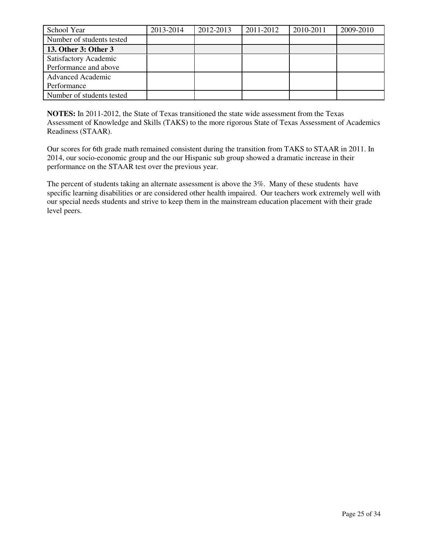| School Year                                    | 2013-2014 | 2012-2013 | 2011-2012 | 2010-2011 | 2009-2010 |
|------------------------------------------------|-----------|-----------|-----------|-----------|-----------|
| Number of students tested                      |           |           |           |           |           |
| 13. Other 3: Other 3                           |           |           |           |           |           |
| Satisfactory Academic<br>Performance and above |           |           |           |           |           |
| <b>Advanced Academic</b><br>Performance        |           |           |           |           |           |
| Number of students tested                      |           |           |           |           |           |

**NOTES:** In 2011-2012, the State of Texas transitioned the state wide assessment from the Texas Assessment of Knowledge and Skills (TAKS) to the more rigorous State of Texas Assessment of Academics Readiness (STAAR).

Our scores for 6th grade math remained consistent during the transition from TAKS to STAAR in 2011. In 2014, our socio-economic group and the our Hispanic sub group showed a dramatic increase in their performance on the STAAR test over the previous year.

The percent of students taking an alternate assessment is above the 3%. Many of these students have specific learning disabilities or are considered other health impaired. Our teachers work extremely well with our special needs students and strive to keep them in the mainstream education placement with their grade level peers.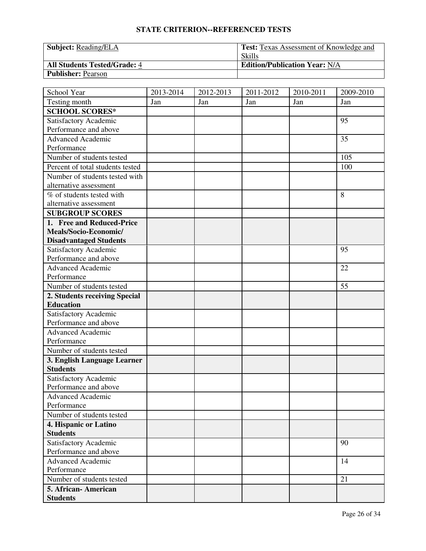| <b>Subject:</b> Reading/ELA         | <b>Test:</b> Texas Assessment of Knowledge and |
|-------------------------------------|------------------------------------------------|
|                                     | <b>Skills</b>                                  |
| <b>All Students Tested/Grade: 4</b> | <b>Edition/Publication Year: N/A</b>           |
| <b>Publisher: Pearson</b>           |                                                |

| School Year                             | 2013-2014 | 2012-2013 | 2011-2012 | 2010-2011 | 2009-2010 |
|-----------------------------------------|-----------|-----------|-----------|-----------|-----------|
| Testing month                           | Jan       | Jan       | Jan       | Jan       | Jan       |
| <b>SCHOOL SCORES*</b>                   |           |           |           |           |           |
| Satisfactory Academic                   |           |           |           |           | 95        |
| Performance and above                   |           |           |           |           |           |
| <b>Advanced Academic</b>                |           |           |           |           | 35        |
| Performance                             |           |           |           |           |           |
| Number of students tested               |           |           |           |           | 105       |
| Percent of total students tested        |           |           |           |           | 100       |
| Number of students tested with          |           |           |           |           |           |
| alternative assessment                  |           |           |           |           |           |
| $\overline{\%}$ of students tested with |           |           |           |           | 8         |
| alternative assessment                  |           |           |           |           |           |
| <b>SUBGROUP SCORES</b>                  |           |           |           |           |           |
| 1. Free and Reduced-Price               |           |           |           |           |           |
| Meals/Socio-Economic/                   |           |           |           |           |           |
| <b>Disadvantaged Students</b>           |           |           |           |           |           |
| Satisfactory Academic                   |           |           |           |           | 95        |
| Performance and above                   |           |           |           |           |           |
| <b>Advanced Academic</b>                |           |           |           |           | 22        |
| Performance                             |           |           |           |           |           |
| Number of students tested               |           |           |           |           | 55        |
| 2. Students receiving Special           |           |           |           |           |           |
| <b>Education</b>                        |           |           |           |           |           |
| Satisfactory Academic                   |           |           |           |           |           |
| Performance and above                   |           |           |           |           |           |
| <b>Advanced Academic</b>                |           |           |           |           |           |
| Performance                             |           |           |           |           |           |
| Number of students tested               |           |           |           |           |           |
| 3. English Language Learner             |           |           |           |           |           |
| <b>Students</b>                         |           |           |           |           |           |
| Satisfactory Academic                   |           |           |           |           |           |
| Performance and above                   |           |           |           |           |           |
| Advanced Academic                       |           |           |           |           |           |
| Performance                             |           |           |           |           |           |
| Number of students tested               |           |           |           |           |           |
| 4. Hispanic or Latino                   |           |           |           |           |           |
| <b>Students</b>                         |           |           |           |           |           |
| Satisfactory Academic                   |           |           |           |           | 90        |
| Performance and above                   |           |           |           |           |           |
| <b>Advanced Academic</b>                |           |           |           |           | 14        |
| Performance                             |           |           |           |           |           |
| Number of students tested               |           |           |           |           | 21        |
| 5. African-American                     |           |           |           |           |           |
| <b>Students</b>                         |           |           |           |           |           |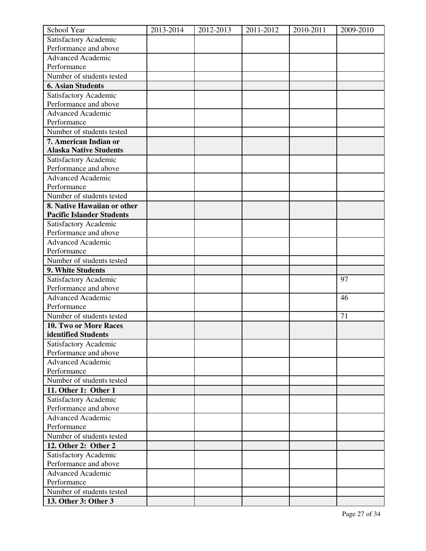| School Year                                    | 2013-2014 | 2012-2013 | 2011-2012 | 2010-2011 | 2009-2010 |
|------------------------------------------------|-----------|-----------|-----------|-----------|-----------|
| Satisfactory Academic                          |           |           |           |           |           |
| Performance and above                          |           |           |           |           |           |
| Advanced Academic                              |           |           |           |           |           |
| Performance                                    |           |           |           |           |           |
| Number of students tested                      |           |           |           |           |           |
| <b>6. Asian Students</b>                       |           |           |           |           |           |
| Satisfactory Academic                          |           |           |           |           |           |
| Performance and above                          |           |           |           |           |           |
| <b>Advanced Academic</b>                       |           |           |           |           |           |
| Performance                                    |           |           |           |           |           |
| Number of students tested                      |           |           |           |           |           |
| 7. American Indian or                          |           |           |           |           |           |
| <b>Alaska Native Students</b>                  |           |           |           |           |           |
| Satisfactory Academic                          |           |           |           |           |           |
| Performance and above                          |           |           |           |           |           |
| <b>Advanced Academic</b>                       |           |           |           |           |           |
| Performance                                    |           |           |           |           |           |
| Number of students tested                      |           |           |           |           |           |
| 8. Native Hawaiian or other                    |           |           |           |           |           |
| <b>Pacific Islander Students</b>               |           |           |           |           |           |
| Satisfactory Academic                          |           |           |           |           |           |
| Performance and above                          |           |           |           |           |           |
| <b>Advanced Academic</b>                       |           |           |           |           |           |
| Performance                                    |           |           |           |           |           |
| Number of students tested<br>9. White Students |           |           |           |           |           |
|                                                |           |           |           |           | 97        |
| Satisfactory Academic<br>Performance and above |           |           |           |           |           |
| <b>Advanced Academic</b>                       |           |           |           |           | 46        |
| Performance                                    |           |           |           |           |           |
| Number of students tested                      |           |           |           |           | 71        |
| 10. Two or More Races                          |           |           |           |           |           |
| identified Students                            |           |           |           |           |           |
| Satisfactory Academic                          |           |           |           |           |           |
| Performance and above                          |           |           |           |           |           |
| <b>Advanced Academic</b>                       |           |           |           |           |           |
| Performance                                    |           |           |           |           |           |
| Number of students tested                      |           |           |           |           |           |
| 11. Other 1: Other 1                           |           |           |           |           |           |
| Satisfactory Academic                          |           |           |           |           |           |
| Performance and above                          |           |           |           |           |           |
| <b>Advanced Academic</b>                       |           |           |           |           |           |
| Performance                                    |           |           |           |           |           |
| Number of students tested                      |           |           |           |           |           |
| 12. Other 2: Other 2                           |           |           |           |           |           |
| Satisfactory Academic                          |           |           |           |           |           |
| Performance and above                          |           |           |           |           |           |
| <b>Advanced Academic</b>                       |           |           |           |           |           |
| Performance                                    |           |           |           |           |           |
| Number of students tested                      |           |           |           |           |           |
| 13. Other 3: Other 3                           |           |           |           |           |           |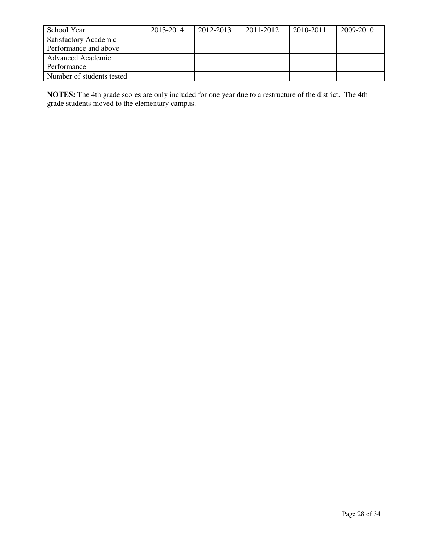| School Year               | 2013-2014 | 2012-2013 | 2011-2012 | 2010-2011 | 2009-2010 |
|---------------------------|-----------|-----------|-----------|-----------|-----------|
| Satisfactory Academic     |           |           |           |           |           |
| Performance and above     |           |           |           |           |           |
| <b>Advanced Academic</b>  |           |           |           |           |           |
| Performance               |           |           |           |           |           |
| Number of students tested |           |           |           |           |           |

**NOTES:** The 4th grade scores are only included for one year due to a restructure of the district. The 4th grade students moved to the elementary campus.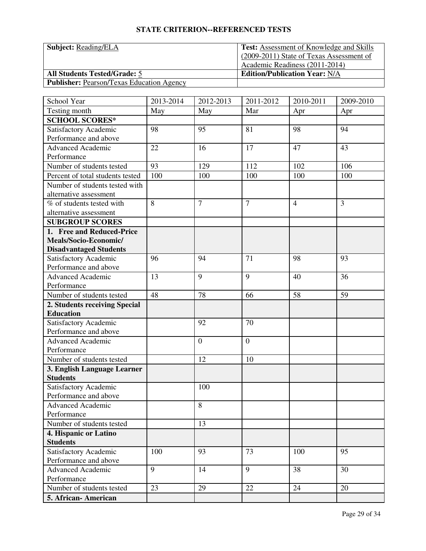| <b>Subject:</b> Reading/ELA                      | <b>Test:</b> Assessment of Knowledge and Skills |
|--------------------------------------------------|-------------------------------------------------|
|                                                  | (2009-2011) State of Texas Assessment of        |
|                                                  | Academic Readiness (2011-2014)                  |
| <b>All Students Tested/Grade: 5</b>              | <b>Edition/Publication Year: N/A</b>            |
| <b>Publisher: Pearson/Texas Education Agency</b> |                                                 |

| School Year                              | 2013-2014 | 2012-2013      | 2011-2012      | 2010-2011      | 2009-2010      |
|------------------------------------------|-----------|----------------|----------------|----------------|----------------|
| Testing month                            | May       | May            | Mar            | Apr            | Apr            |
| <b>SCHOOL SCORES*</b>                    |           |                |                |                |                |
| Satisfactory Academic                    | 98        | 95             | 81             | 98             | 94             |
| Performance and above                    |           |                |                |                |                |
| <b>Advanced Academic</b>                 | 22        | 16             | 17             | 47             | 43             |
| Performance                              |           |                |                |                |                |
| Number of students tested                | 93        | 129            | 112            | 102            | 106            |
| Percent of total students tested         | 100       | 100            | 100            | 100            | 100            |
| Number of students tested with           |           |                |                |                |                |
| alternative assessment                   |           |                |                |                |                |
| % of students tested with                | 8         | $\overline{7}$ | $\overline{7}$ | $\overline{4}$ | $\overline{3}$ |
| alternative assessment                   |           |                |                |                |                |
| <b>SUBGROUP SCORES</b>                   |           |                |                |                |                |
| 1. Free and Reduced-Price                |           |                |                |                |                |
| Meals/Socio-Economic/                    |           |                |                |                |                |
| <b>Disadvantaged Students</b>            |           |                |                |                |                |
| Satisfactory Academic                    | 96        | 94             | 71             | 98             | 93             |
| Performance and above                    |           |                |                |                |                |
| Advanced Academic                        | 13        | 9              | 9              | 40             | 36             |
| Performance                              |           |                |                |                |                |
| Number of students tested                | 48        | 78             | 66             | 58             | 59             |
| 2. Students receiving Special            |           |                |                |                |                |
| <b>Education</b>                         |           |                |                |                |                |
| Satisfactory Academic                    |           | 92             | 70             |                |                |
| Performance and above                    |           |                |                |                |                |
| <b>Advanced Academic</b>                 |           | $\overline{0}$ | $\overline{0}$ |                |                |
| Performance                              |           |                |                |                |                |
| Number of students tested                |           | 12             | 10             |                |                |
| 3. English Language Learner              |           |                |                |                |                |
| <b>Students</b>                          |           |                |                |                |                |
| Satisfactory Academic                    |           | 100            |                |                |                |
| Performance and above                    |           |                |                |                |                |
| <b>Advanced Academic</b>                 |           | $\,8\,$        |                |                |                |
| Performance                              |           | 13             |                |                |                |
| Number of students tested                |           |                |                |                |                |
| 4. Hispanic or Latino<br><b>Students</b> |           |                |                |                |                |
| Satisfactory Academic                    | 100       | 93             | 73             | 100            | 95             |
| Performance and above                    |           |                |                |                |                |
| <b>Advanced Academic</b>                 | 9         | 14             | 9              | 38             | 30             |
| Performance                              |           |                |                |                |                |
| Number of students tested                | 23        | 29             | 22             | 24             | 20             |
|                                          |           |                |                |                |                |
| 5. African- American                     |           |                |                |                |                |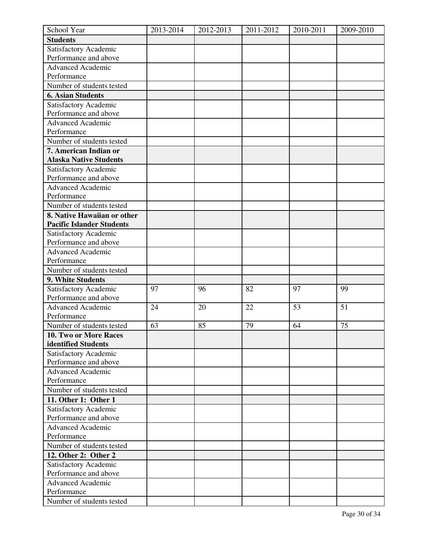| School Year                      | 2013-2014 | 2012-2013 | 2011-2012 | 2010-2011 | 2009-2010 |
|----------------------------------|-----------|-----------|-----------|-----------|-----------|
| <b>Students</b>                  |           |           |           |           |           |
| Satisfactory Academic            |           |           |           |           |           |
| Performance and above            |           |           |           |           |           |
| <b>Advanced Academic</b>         |           |           |           |           |           |
| Performance                      |           |           |           |           |           |
| Number of students tested        |           |           |           |           |           |
| <b>6. Asian Students</b>         |           |           |           |           |           |
| Satisfactory Academic            |           |           |           |           |           |
| Performance and above            |           |           |           |           |           |
| <b>Advanced Academic</b>         |           |           |           |           |           |
| Performance                      |           |           |           |           |           |
| Number of students tested        |           |           |           |           |           |
| 7. American Indian or            |           |           |           |           |           |
| <b>Alaska Native Students</b>    |           |           |           |           |           |
| Satisfactory Academic            |           |           |           |           |           |
| Performance and above            |           |           |           |           |           |
| <b>Advanced Academic</b>         |           |           |           |           |           |
| Performance                      |           |           |           |           |           |
| Number of students tested        |           |           |           |           |           |
| 8. Native Hawaiian or other      |           |           |           |           |           |
| <b>Pacific Islander Students</b> |           |           |           |           |           |
| Satisfactory Academic            |           |           |           |           |           |
| Performance and above            |           |           |           |           |           |
| Advanced Academic                |           |           |           |           |           |
| Performance                      |           |           |           |           |           |
| Number of students tested        |           |           |           |           |           |
| 9. White Students                |           |           |           |           |           |
| Satisfactory Academic            | 97        | 96        | 82        | 97        | 99        |
| Performance and above            |           |           |           |           |           |
| <b>Advanced Academic</b>         | 24        | 20        | 22        | 53        | 51        |
| Performance                      |           |           |           |           |           |
| Number of students tested        | 63        | 85        | 79        | 64        | 75        |
| 10. Two or More Races            |           |           |           |           |           |
| identified Students              |           |           |           |           |           |
| Satisfactory Academic            |           |           |           |           |           |
| Performance and above            |           |           |           |           |           |
| <b>Advanced Academic</b>         |           |           |           |           |           |
| Performance                      |           |           |           |           |           |
| Number of students tested        |           |           |           |           |           |
| 11. Other 1: Other 1             |           |           |           |           |           |
| Satisfactory Academic            |           |           |           |           |           |
| Performance and above            |           |           |           |           |           |
| <b>Advanced Academic</b>         |           |           |           |           |           |
| Performance                      |           |           |           |           |           |
| Number of students tested        |           |           |           |           |           |
| 12. Other 2: Other 2             |           |           |           |           |           |
| Satisfactory Academic            |           |           |           |           |           |
| Performance and above            |           |           |           |           |           |
| <b>Advanced Academic</b>         |           |           |           |           |           |
| Performance                      |           |           |           |           |           |
| Number of students tested        |           |           |           |           |           |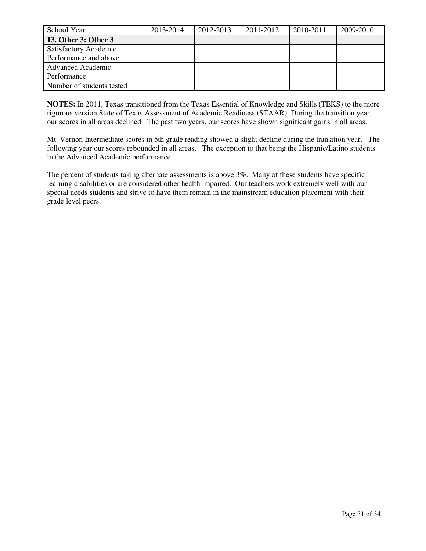| School Year               | 2013-2014 | 2012-2013 | 2011-2012 | 2010-2011 | 2009-2010 |
|---------------------------|-----------|-----------|-----------|-----------|-----------|
| 13. Other 3: Other 3      |           |           |           |           |           |
| Satisfactory Academic     |           |           |           |           |           |
| Performance and above     |           |           |           |           |           |
| <b>Advanced Academic</b>  |           |           |           |           |           |
| Performance               |           |           |           |           |           |
| Number of students tested |           |           |           |           |           |

**NOTES:** In 2011, Texas transitioned from the Texas Essential of Knowledge and Skills (TEKS) to the more rigorous version State of Texas Assessment of Academic Readiness (STAAR). During the transition year, our scores in all areas declined. The past two years, our scores have shown significant gains in all areas.

Mt. Vernon Intermediate scores in 5th grade reading showed a slight decline during the transition year. The following year our scores rebounded in all areas. The exception to that being the Hispanic/Latino students in the Advanced Academic performance.

The percent of students taking alternate assessments is above 3%. Many of these students have specific learning disabilities or are considered other health impaired. Our teachers work extremely well with our special needs students and strive to have them remain in the mainstream education placement with their grade level peers.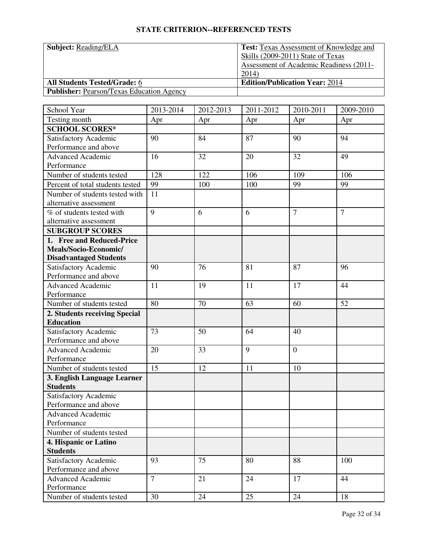| <b>Subject: Reading/ELA</b>                      | <b>Test:</b> Texas Assessment of Knowledge and |
|--------------------------------------------------|------------------------------------------------|
|                                                  | Skills (2009-2011) State of Texas              |
|                                                  | <b>Assessment of Academic Readiness (2011-</b> |
|                                                  | 2014)                                          |
| <b>All Students Tested/Grade: 6</b>              | <b>Edition/Publication Year: 2014</b>          |
| <b>Publisher:</b> Pearson/Texas Education Agency |                                                |

| School Year                      | 2013-2014      | $\overline{20}$ 12-2013 | 2011-2012 | 2010-2011      | 2009-2010      |
|----------------------------------|----------------|-------------------------|-----------|----------------|----------------|
| Testing month                    | Apr            | Apr                     | Apr       | Apr            | Apr            |
| <b>SCHOOL SCORES*</b>            |                |                         |           |                |                |
| Satisfactory Academic            | 90             | 84                      | 87        | 90             | 94             |
| Performance and above            |                |                         |           |                |                |
| <b>Advanced Academic</b>         | 16             | 32                      | 20        | 32             | 49             |
| Performance                      |                |                         |           |                |                |
| Number of students tested        | 128            | 122                     | 106       | 109            | 106            |
| Percent of total students tested | 99             | 100                     | 100       | 99             | 99             |
| Number of students tested with   | 11             |                         |           |                |                |
| alternative assessment           |                |                         |           |                |                |
| % of students tested with        | 9              | 6                       | 6         | $\overline{7}$ | $\overline{7}$ |
| alternative assessment           |                |                         |           |                |                |
| <b>SUBGROUP SCORES</b>           |                |                         |           |                |                |
| 1. Free and Reduced-Price        |                |                         |           |                |                |
| Meals/Socio-Economic/            |                |                         |           |                |                |
| <b>Disadvantaged Students</b>    |                |                         |           |                |                |
| Satisfactory Academic            | 90             | 76                      | 81        | 87             | 96             |
| Performance and above            |                |                         |           |                |                |
| <b>Advanced Academic</b>         | 11             | 19                      | 11        | 17             | 44             |
| Performance                      |                |                         |           |                |                |
| Number of students tested        | 80             | 70                      | 63        | 60             | 52             |
| 2. Students receiving Special    |                |                         |           |                |                |
| <b>Education</b>                 |                |                         |           |                |                |
| Satisfactory Academic            | 73             | 50                      | 64        | 40             |                |
| Performance and above            |                |                         |           |                |                |
| <b>Advanced Academic</b>         | 20             | 33                      | 9         | $\overline{0}$ |                |
| Performance                      |                |                         |           |                |                |
| Number of students tested        | 15             | 12                      | 11        | 10             |                |
| 3. English Language Learner      |                |                         |           |                |                |
| <b>Students</b>                  |                |                         |           |                |                |
| Satisfactory Academic            |                |                         |           |                |                |
| Performance and above            |                |                         |           |                |                |
| <b>Advanced Academic</b>         |                |                         |           |                |                |
| Performance                      |                |                         |           |                |                |
| Number of students tested        |                |                         |           |                |                |
| 4. Hispanic or Latino            |                |                         |           |                |                |
| <b>Students</b>                  |                |                         |           |                |                |
| Satisfactory Academic            | 93             | 75                      | 80        | 88             | 100            |
| Performance and above            |                |                         |           |                |                |
| <b>Advanced Academic</b>         | $\overline{7}$ | 21                      | 24        | 17             | 44             |
| Performance                      |                |                         |           |                |                |
| Number of students tested        | 30             | 24                      | 25        | 24             | 18             |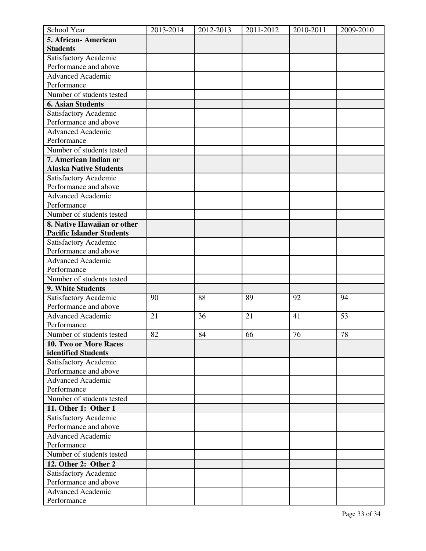| School Year                      | 2013-2014 | 2012-2013 | 2011-2012 | 2010-2011 | 2009-2010 |
|----------------------------------|-----------|-----------|-----------|-----------|-----------|
| 5. African-American              |           |           |           |           |           |
| <b>Students</b>                  |           |           |           |           |           |
| Satisfactory Academic            |           |           |           |           |           |
| Performance and above            |           |           |           |           |           |
| <b>Advanced Academic</b>         |           |           |           |           |           |
| Performance                      |           |           |           |           |           |
| Number of students tested        |           |           |           |           |           |
| <b>6. Asian Students</b>         |           |           |           |           |           |
| Satisfactory Academic            |           |           |           |           |           |
| Performance and above            |           |           |           |           |           |
| <b>Advanced Academic</b>         |           |           |           |           |           |
| Performance                      |           |           |           |           |           |
| Number of students tested        |           |           |           |           |           |
| 7. American Indian or            |           |           |           |           |           |
| <b>Alaska Native Students</b>    |           |           |           |           |           |
| Satisfactory Academic            |           |           |           |           |           |
| Performance and above            |           |           |           |           |           |
| <b>Advanced Academic</b>         |           |           |           |           |           |
| Performance                      |           |           |           |           |           |
| Number of students tested        |           |           |           |           |           |
| 8. Native Hawaiian or other      |           |           |           |           |           |
| <b>Pacific Islander Students</b> |           |           |           |           |           |
| Satisfactory Academic            |           |           |           |           |           |
| Performance and above            |           |           |           |           |           |
| <b>Advanced Academic</b>         |           |           |           |           |           |
| Performance                      |           |           |           |           |           |
| Number of students tested        |           |           |           |           |           |
| 9. White Students                |           |           |           |           |           |
| Satisfactory Academic            | 90        | 88        | 89        | 92        | 94        |
| Performance and above            |           |           |           |           |           |
| <b>Advanced Academic</b>         | 21        | 36        | 21        | 41        | 53        |
| Performance                      |           |           |           |           |           |
| Number of students tested        | 82        | 84        | 66        | 76        | 78        |
| 10. Two or More Races            |           |           |           |           |           |
| identified Students              |           |           |           |           |           |
| Satisfactory Academic            |           |           |           |           |           |
| Performance and above            |           |           |           |           |           |
| <b>Advanced Academic</b>         |           |           |           |           |           |
| Performance                      |           |           |           |           |           |
| Number of students tested        |           |           |           |           |           |
| 11. Other 1: Other 1             |           |           |           |           |           |
| Satisfactory Academic            |           |           |           |           |           |
| Performance and above            |           |           |           |           |           |
| <b>Advanced Academic</b>         |           |           |           |           |           |
| Performance                      |           |           |           |           |           |
| Number of students tested        |           |           |           |           |           |
| 12. Other 2: Other 2             |           |           |           |           |           |
| Satisfactory Academic            |           |           |           |           |           |
| Performance and above            |           |           |           |           |           |
| <b>Advanced Academic</b>         |           |           |           |           |           |
| Performance                      |           |           |           |           |           |